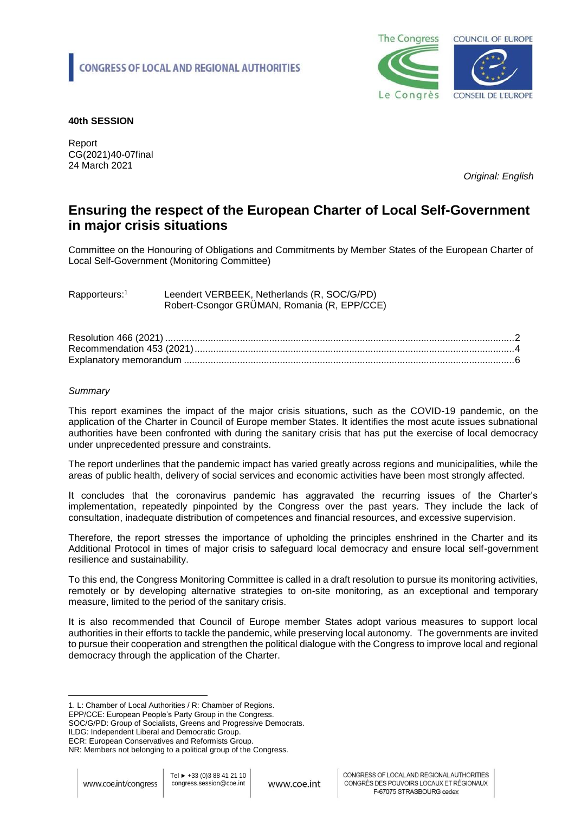

## **40th SESSION**

Report CG(2021)40-07final 24 March 2021

*Original: English* 

# **Ensuring the respect of the European Charter of Local Self-Government in major crisis situations**

Committee on the Honouring of Obligations and Commitments by Member States of the European Charter of Local Self-Government (Monitoring Committee)

Rapporteurs:<sup>1</sup> Leendert VERBEEK, Netherlands (R, SOC/G/PD) Robert-Csongor GRÜMAN, Romania (R, EPP/CCE)

## *Summary*

This report examines the impact of the major crisis situations, such as the COVID-19 pandemic, on the application of the Charter in Council of Europe member States. It identifies the most acute issues subnational authorities have been confronted with during the sanitary crisis that has put the exercise of local democracy under unprecedented pressure and constraints.

The report underlines that the pandemic impact has varied greatly across regions and municipalities, while the areas of public health, delivery of social services and economic activities have been most strongly affected.

It concludes that the coronavirus pandemic has aggravated the recurring issues of the Charter's implementation, repeatedly pinpointed by the Congress over the past years. They include the lack of consultation, inadequate distribution of competences and financial resources, and excessive supervision.

Therefore, the report stresses the importance of upholding the principles enshrined in the Charter and its Additional Protocol in times of major crisis to safeguard local democracy and ensure local self-government resilience and sustainability.

To this end, the Congress Monitoring Committee is called in a draft resolution to pursue its monitoring activities, remotely or by developing alternative strategies to on-site monitoring, as an exceptional and temporary measure, limited to the period of the sanitary crisis.

It is also recommended that Council of Europe member States adopt various measures to support local authorities in their efforts to tackle the pandemic, while preserving local autonomy. The governments are invited to pursue their cooperation and strengthen the political dialogue with the Congress to improve local and regional democracy through the application of the Charter.

EPP/CCE: European People's Party Group in the Congress.

SOC/G/PD: Group of Socialists, Greens and Progressive Democrats.

ILDG: Independent Liberal and Democratic Group.

 $\overline{a}$ 1. L: Chamber of Local Authorities / R: Chamber of Regions.

ECR: European Conservatives and Reformists Group.

NR: Members not belonging to a political group of the Congress.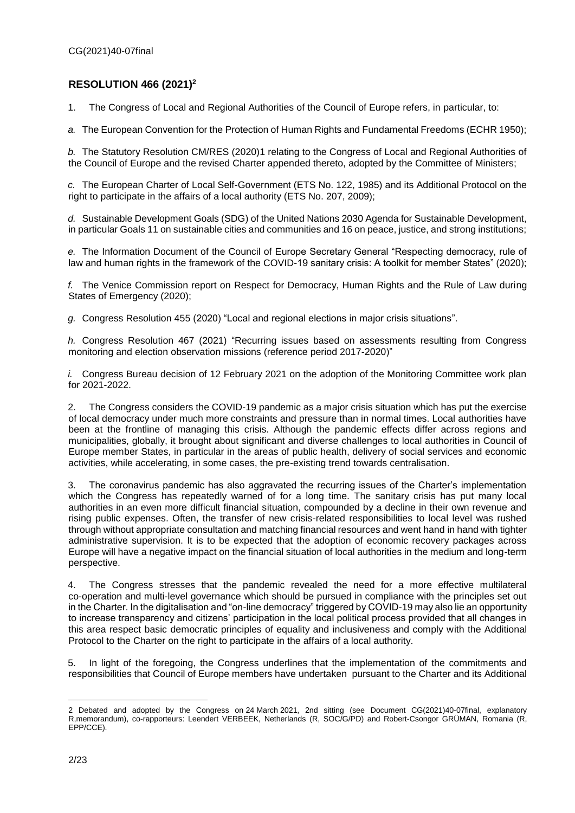## <span id="page-1-0"></span>**RESOLUTION 466 (2021)<sup>2</sup>**

1. The Congress of Local and Regional Authorities of the Council of Europe refers, in particular, to:

*a.* The European Convention for the Protection of Human Rights and Fundamental Freedoms (ECHR 1950);

*b.* The Statutory Resolution CM/RES (2020)1 relating to the Congress of Local and Regional Authorities of the Council of Europe and the revised Charter appended thereto, adopted by the Committee of Ministers;

*c.* The European Charter of Local Self-Government (ETS No. 122, 1985) and its Additional Protocol on the right to participate in the affairs of a local authority (ETS No. 207, 2009);

*d.* Sustainable Development Goals (SDG) of the United Nations 2030 Agenda for Sustainable Development, in particular Goals 11 on sustainable cities and communities and 16 on peace, justice, and strong institutions;

*e.* The Information Document of the Council of Europe Secretary General "Respecting democracy, rule of law and human rights in the framework of the COVID-19 sanitary crisis: A toolkit for member States" (2020);

*f.* The Venice Commission report on Respect for Democracy, Human Rights and the Rule of Law during States of Emergency (2020);

*g.* Congress Resolution 455 (2020) "Local and regional elections in major crisis situations".

*h.* Congress Resolution 467 (2021) "Recurring issues based on assessments resulting from Congress monitoring and election observation missions (reference period 2017-2020)"

*i.* Congress Bureau decision of 12 February 2021 on the adoption of the Monitoring Committee work plan for 2021-2022.

2. The Congress considers the COVID-19 pandemic as a major crisis situation which has put the exercise of local democracy under much more constraints and pressure than in normal times. Local authorities have been at the frontline of managing this crisis. Although the pandemic effects differ across regions and municipalities, globally, it brought about significant and diverse challenges to local authorities in Council of Europe member States, in particular in the areas of public health, delivery of social services and economic activities, while accelerating, in some cases, the pre-existing trend towards centralisation.

3. The coronavirus pandemic has also aggravated the recurring issues of the Charter's implementation which the Congress has repeatedly warned of for a long time. The sanitary crisis has put many local authorities in an even more difficult financial situation, compounded by a decline in their own revenue and rising public expenses. Often, the transfer of new crisis-related responsibilities to local level was rushed through without appropriate consultation and matching financial resources and went hand in hand with tighter administrative supervision. It is to be expected that the adoption of economic recovery packages across Europe will have a negative impact on the financial situation of local authorities in the medium and long-term perspective.

4. The Congress stresses that the pandemic revealed the need for a more effective multilateral co-operation and multi-level governance which should be pursued in compliance with the principles set out in the Charter. In the digitalisation and "on-line democracy" triggered by COVID-19 may also lie an opportunity to increase transparency and citizens' participation in the local political process provided that all changes in this area respect basic democratic principles of equality and inclusiveness and comply with the Additional Protocol to the Charter on the right to participate in the affairs of a local authority.

5. In light of the foregoing, the Congress underlines that the implementation of the commitments and responsibilities that Council of Europe members have undertaken pursuant to the Charter and its Additional

 $\overline{a}$ 2 Debated and adopted by the Congress on 24 March 2021, 2nd sitting (see Document CG(2021)40-07final, explanatory R,memorandum), co-rapporteurs: Leendert VERBEEK, Netherlands (R, SOC/G/PD) and Robert-Csongor GRÜMAN, Romania (R, EPP/CCE).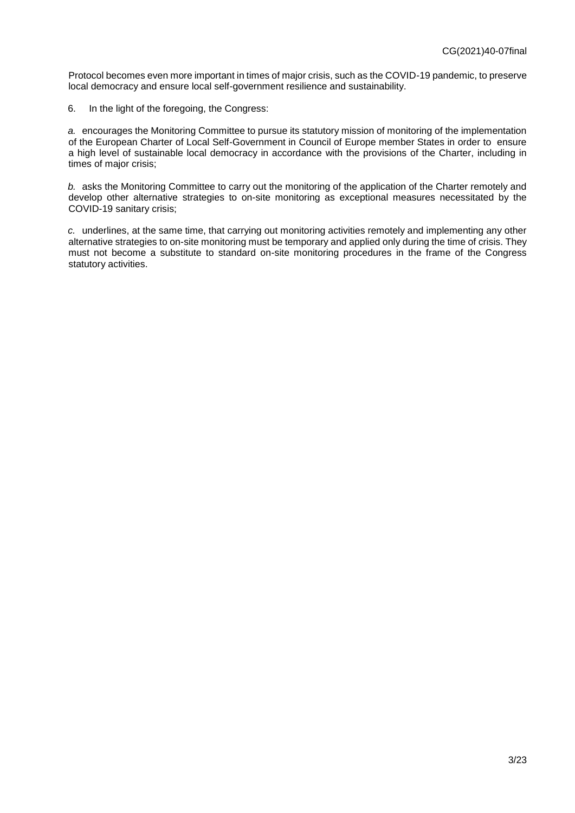Protocol becomes even more important in times of major crisis, such as the COVID-19 pandemic, to preserve local democracy and ensure local self-government resilience and sustainability.

6. In the light of the foregoing, the Congress:

*a.* encourages the Monitoring Committee to pursue its statutory mission of monitoring of the implementation of the European Charter of Local Self-Government in Council of Europe member States in order to ensure a high level of sustainable local democracy in accordance with the provisions of the Charter, including in times of major crisis;

*b.* asks the Monitoring Committee to carry out the monitoring of the application of the Charter remotely and develop other alternative strategies to on-site monitoring as exceptional measures necessitated by the COVID-19 sanitary crisis;

*c.* underlines, at the same time, that carrying out monitoring activities remotely and implementing any other alternative strategies to on-site monitoring must be temporary and applied only during the time of crisis. They must not become a substitute to standard on-site monitoring procedures in the frame of the Congress statutory activities.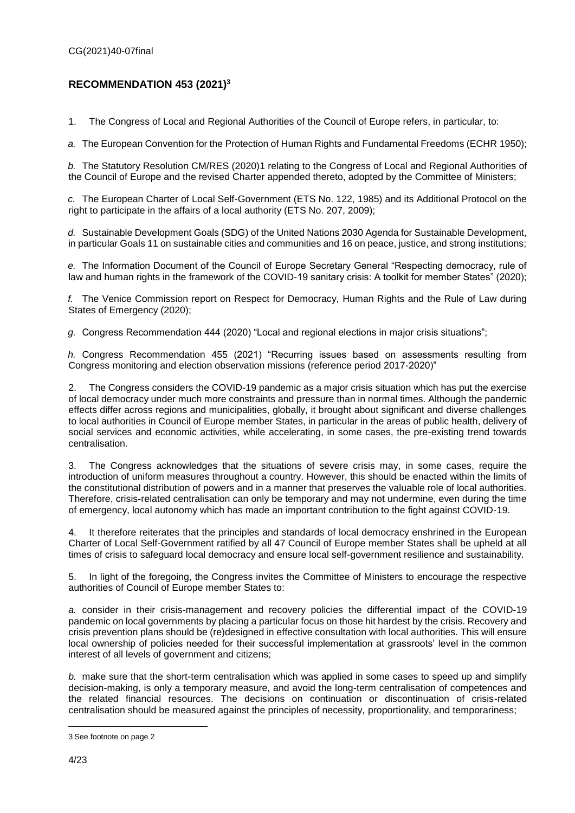## <span id="page-3-0"></span>**RECOMMENDATION 453 (2021)<sup>3</sup>**

1. The Congress of Local and Regional Authorities of the Council of Europe refers, in particular, to:

*a.* The European Convention for the Protection of Human Rights and Fundamental Freedoms (ECHR 1950);

*b.* The Statutory Resolution CM/RES (2020)1 relating to the Congress of Local and Regional Authorities of the Council of Europe and the revised Charter appended thereto, adopted by the Committee of Ministers;

*c.* The European Charter of Local Self-Government (ETS No. 122, 1985) and its Additional Protocol on the right to participate in the affairs of a local authority (ETS No. 207, 2009);

*d.* Sustainable Development Goals (SDG) of the United Nations 2030 Agenda for Sustainable Development, in particular Goals 11 on sustainable cities and communities and 16 on peace, justice, and strong institutions;

*e.* The Information Document of the Council of Europe Secretary General "Respecting democracy, rule of law and human rights in the framework of the COVID-19 sanitary crisis: A toolkit for member States" (2020);

*f.* The Venice Commission report on Respect for Democracy, Human Rights and the Rule of Law during States of Emergency (2020);

*g.* Congress Recommendation 444 (2020) "Local and regional elections in major crisis situations";

*h.* Congress Recommendation 455 (2021) "Recurring issues based on assessments resulting from Congress monitoring and election observation missions (reference period 2017-2020)"

2. The Congress considers the COVID-19 pandemic as a major crisis situation which has put the exercise of local democracy under much more constraints and pressure than in normal times. Although the pandemic effects differ across regions and municipalities, globally, it brought about significant and diverse challenges to local authorities in Council of Europe member States, in particular in the areas of public health, delivery of social services and economic activities, while accelerating, in some cases, the pre-existing trend towards centralisation.

3. The Congress acknowledges that the situations of severe crisis may, in some cases, require the introduction of uniform measures throughout a country. However, this should be enacted within the limits of the constitutional distribution of powers and in a manner that preserves the valuable role of local authorities. Therefore, crisis-related centralisation can only be temporary and may not undermine, even during the time of emergency, local autonomy which has made an important contribution to the fight against COVID-19.

4. It therefore reiterates that the principles and standards of local democracy enshrined in the European Charter of Local Self-Government ratified by all 47 Council of Europe member States shall be upheld at all times of crisis to safeguard local democracy and ensure local self-government resilience and sustainability.

5. In light of the foregoing, the Congress invites the Committee of Ministers to encourage the respective authorities of Council of Europe member States to:

*a.* consider in their crisis-management and recovery policies the differential impact of the COVID-19 pandemic on local governments by placing a particular focus on those hit hardest by the crisis. Recovery and crisis prevention plans should be (re)designed in effective consultation with local authorities. This will ensure local ownership of policies needed for their successful implementation at grassroots' level in the common interest of all levels of government and citizens;

*b.* make sure that the short-term centralisation which was applied in some cases to speed up and simplify decision-making, is only a temporary measure, and avoid the long-term centralisation of competences and the related financial resources. The decisions on continuation or discontinuation of crisis-related centralisation should be measured against the principles of necessity, proportionality, and temporariness;

 $\overline{a}$ 3 See footnote on page 2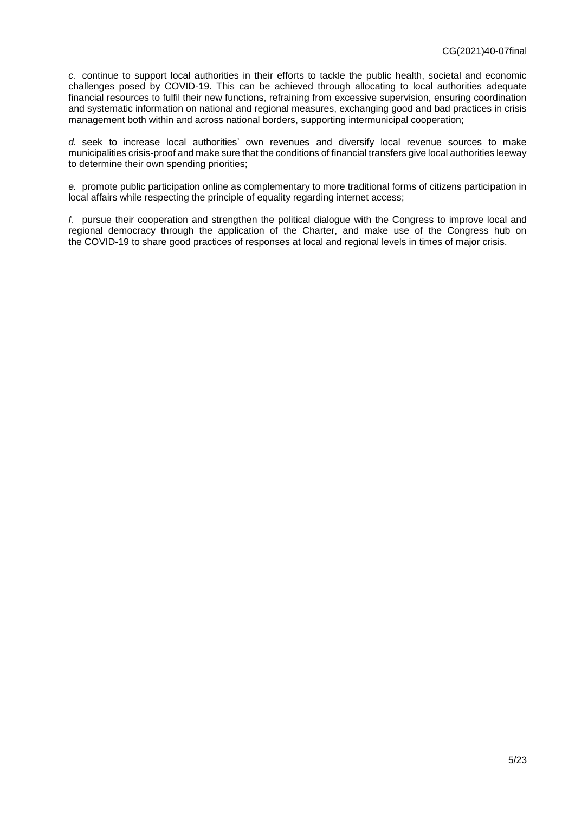*c.* continue to support local authorities in their efforts to tackle the public health, societal and economic challenges posed by COVID-19. This can be achieved through allocating to local authorities adequate financial resources to fulfil their new functions, refraining from excessive supervision, ensuring coordination and systematic information on national and regional measures, exchanging good and bad practices in crisis management both within and across national borders, supporting intermunicipal cooperation;

*d.* seek to increase local authorities' own revenues and diversify local revenue sources to make municipalities crisis-proof and make sure that the conditions of financial transfers give local authorities leeway to determine their own spending priorities;

*e.* promote public participation online as complementary to more traditional forms of citizens participation in local affairs while respecting the principle of equality regarding internet access;

*f.* pursue their cooperation and strengthen the political dialogue with the Congress to improve local and regional democracy through the application of the Charter, and make use of the Congress hub on the COVID-19 to share good practices of responses at local and regional levels in times of major crisis.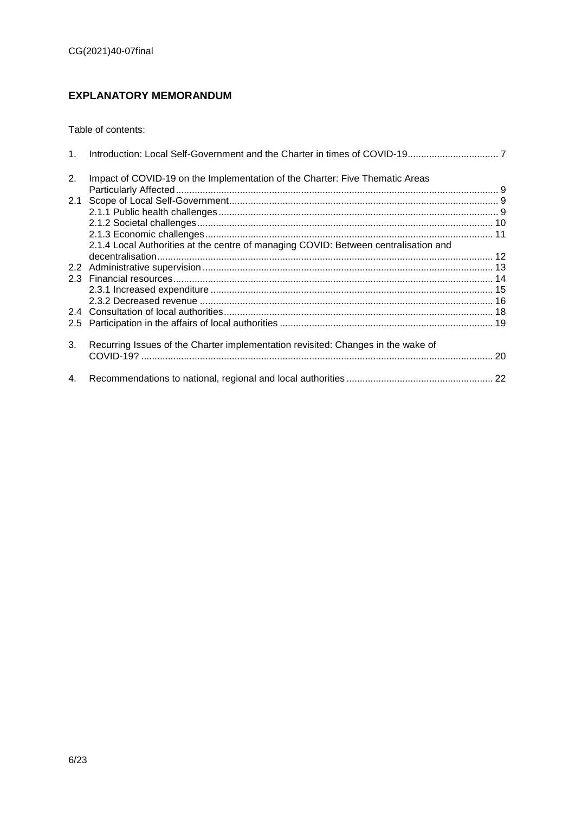# <span id="page-5-0"></span>**EXPLANATORY MEMORANDUM**

Table of contents:

| 1.            |                                                                                     |  |
|---------------|-------------------------------------------------------------------------------------|--|
| 2.            | Impact of COVID-19 on the Implementation of the Charter: Five Thematic Areas        |  |
|               |                                                                                     |  |
|               |                                                                                     |  |
|               |                                                                                     |  |
|               |                                                                                     |  |
|               |                                                                                     |  |
|               | 2.1.4 Local Authorities at the centre of managing COVID: Between centralisation and |  |
|               |                                                                                     |  |
|               |                                                                                     |  |
|               |                                                                                     |  |
|               |                                                                                     |  |
|               |                                                                                     |  |
|               |                                                                                     |  |
| $2.5^{\circ}$ |                                                                                     |  |
| 3.            | Recurring Issues of the Charter implementation revisited: Changes in the wake of    |  |
|               |                                                                                     |  |
| 4.            |                                                                                     |  |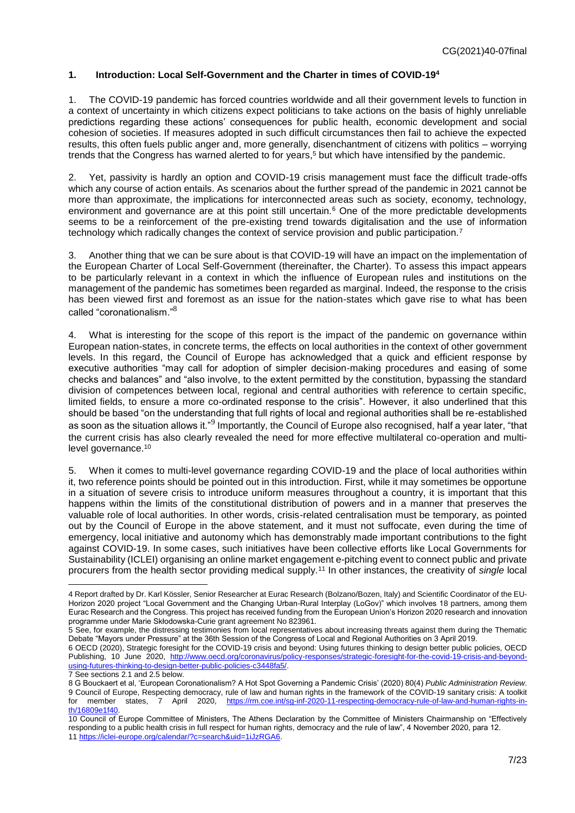## <span id="page-6-0"></span>**1. Introduction: Local Self-Government and the Charter in times of COVID-19<sup>4</sup>**

1. The COVID-19 pandemic has forced countries worldwide and all their government levels to function in a context of uncertainty in which citizens expect politicians to take actions on the basis of highly unreliable predictions regarding these actions' consequences for public health, economic development and social cohesion of societies. If measures adopted in such difficult circumstances then fail to achieve the expected results, this often fuels public anger and, more generally, disenchantment of citizens with politics – worrying trends that the Congress has warned alerted to for years,<sup>5</sup> but which have intensified by the pandemic.

2. Yet, passivity is hardly an option and COVID-19 crisis management must face the difficult trade-offs which any course of action entails. As scenarios about the further spread of the pandemic in 2021 cannot be more than approximate, the implications for interconnected areas such as society, economy, technology, environment and governance are at this point still uncertain.<sup>6</sup> One of the more predictable developments seems to be a reinforcement of the pre-existing trend towards digitalisation and the use of information technology which radically changes the context of service provision and public participation.<sup>7</sup>

3. Another thing that we can be sure about is that COVID-19 will have an impact on the implementation of the European Charter of Local Self-Government (thereinafter, the Charter). To assess this impact appears to be particularly relevant in a context in which the influence of European rules and institutions on the management of the pandemic has sometimes been regarded as marginal. Indeed, the response to the crisis has been viewed first and foremost as an issue for the nation-states which gave rise to what has been called "coronationalism."<sup>8</sup>

4. What is interesting for the scope of this report is the impact of the pandemic on governance within European nation-states, in concrete terms, the effects on local authorities in the context of other government levels. In this regard, the Council of Europe has acknowledged that a quick and efficient response by executive authorities "may call for adoption of simpler decision-making procedures and easing of some checks and balances" and "also involve, to the extent permitted by the constitution, bypassing the standard division of competences between local, regional and central authorities with reference to certain specific, limited fields, to ensure a more co-ordinated response to the crisis". However, it also underlined that this should be based "on the understanding that full rights of local and regional authorities shall be re-established as soon as the situation allows it."<sup>9</sup> Importantly, the Council of Europe also recognised, half a year later, "that the current crisis has also clearly revealed the need for more effective multilateral co-operation and multilevel governance.<sup>10</sup>

When it comes to multi-level governance regarding COVID-19 and the place of local authorities within it, two reference points should be pointed out in this introduction. First, while it may sometimes be opportune in a situation of severe crisis to introduce uniform measures throughout a country, it is important that this happens within the limits of the constitutional distribution of powers and in a manner that preserves the valuable role of local authorities. In other words, crisis-related centralisation must be temporary, as pointed out by the Council of Europe in the above statement, and it must not suffocate, even during the time of emergency, local initiative and autonomy which has demonstrably made important contributions to the fight against COVID-19. In some cases, such initiatives have been collective efforts like Local Governments for Sustainability (ICLEI) organising an online market engagement e-pitching event to connect public and private procurers from the health sector providing medical supply.<sup>11</sup> In other instances, the creativity of *single* local

<sup>4</sup> Report drafted by Dr. Karl Kössler, Senior Researcher at Eurac Research (Bolzano/Bozen, Italy) and Scientific Coordinator of the EU-Horizon 2020 project "Local Government and the Changing Urban-Rural Interplay (LoGov)" which involves 18 partners, among them Eurac Research and the Congress. This project has received funding from the European Union's Horizon 2020 research and innovation programme under Marie Skłodowska-Curie grant agreement No 823961.

<sup>5</sup> See, for example, the distressing testimonies from local representatives about increasing threats against them during the Thematic Debate "Mayors under Pressure" at the 36th Session of the Congress of Local and Regional Authorities on 3 April 2019.

<sup>6</sup> OECD (2020), Strategic foresight for the COVID-19 crisis and beyond: Using futures thinking to design better public policies, OECD Publishing, 10 June 2020, [http://www.oecd.org/coronavirus/policy-responses/strategic-foresight-for-the-covid-19-crisis-and-beyond](http://www.oecd.org/coronavirus/policy-responses/strategic-foresight-for-the-covid-19-crisis-and-beyond-using-futures-thinking-to-design-better-public-policies-c3448fa5/)[using-futures-thinking-to-design-better-public-policies-c3448fa5/.](http://www.oecd.org/coronavirus/policy-responses/strategic-foresight-for-the-covid-19-crisis-and-beyond-using-futures-thinking-to-design-better-public-policies-c3448fa5/) 7 See sections 2.1 and 2.5 below.

<sup>8</sup> G Bouckaert et al, 'European Coronationalism? A Hot Spot Governing a Pandemic Crisis' (2020) 80(4) *Public Administration Review*. 9 Council of Europe, Respecting democracy, rule of law and human rights in the framework of the COVID-19 sanitary crisis: A toolkit for member states, 7 April 2020, [https://rm.coe.int/sg-inf-2020-11-respecting-democracy-rule-of-law-and-human-rights-in](https://rm.coe.int/sg-inf-2020-11-respecting-democracy-rule-of-law-and-human-rights-in-th/16809e1f40)[th/16809e1f40.](https://rm.coe.int/sg-inf-2020-11-respecting-democracy-rule-of-law-and-human-rights-in-th/16809e1f40)

<sup>10</sup> Council of Europe Committee of Ministers, The Athens Declaration by the Committee of Ministers Chairmanship on "Effectively responding to a public health crisis in full respect for human rights, democracy and the rule of law", 4 November 2020, para 12. 11 [https://iclei-europe.org/calendar/?c=search&uid=1iJzRGA6.](https://iclei-europe.org/calendar/?c=search&uid=1iJzRGA6)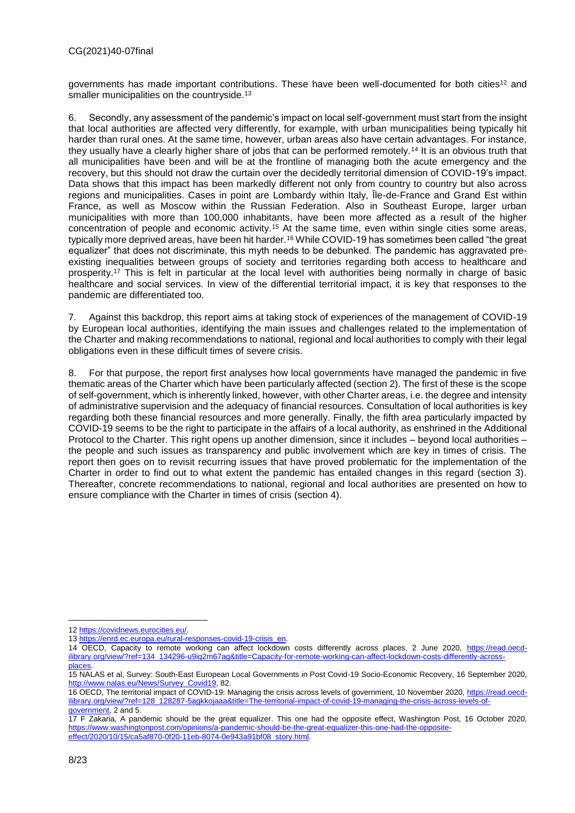governments has made important contributions. These have been well-documented for both cities<sup>12</sup> and smaller municipalities on the countryside.<sup>13</sup>

6. Secondly, any assessment of the pandemic's impact on local self-government must start from the insight that local authorities are affected very differently, for example, with urban municipalities being typically hit harder than rural ones. At the same time, however, urban areas also have certain advantages. For instance, they usually have a clearly higher share of jobs that can be performed remotely.<sup>14</sup> It is an obvious truth that all municipalities have been and will be at the frontline of managing both the acute emergency and the recovery, but this should not draw the curtain over the decidedly territorial dimension of COVID-19's impact. Data shows that this impact has been markedly different not only from country to country but also across regions and municipalities. Cases in point are Lombardy within Italy, Île-de-France and Grand Est within France, as well as Moscow within the Russian Federation. Also in Southeast Europe, larger urban municipalities with more than 100,000 inhabitants, have been more affected as a result of the higher concentration of people and economic activity.<sup>15</sup> At the same time, even within single cities some areas, typically more deprived areas, have been hit harder.<sup>16</sup> While COVID-19 has sometimes been called "the great equalizer" that does not discriminate, this myth needs to be debunked. The pandemic has aggravated preexisting inequalities between groups of society and territories regarding both access to healthcare and prosperity.<sup>17</sup> This is felt in particular at the local level with authorities being normally in charge of basic healthcare and social services. In view of the differential territorial impact, it is key that responses to the pandemic are differentiated too.

7. Against this backdrop, this report aims at taking stock of experiences of the management of COVID-19 by European local authorities, identifying the main issues and challenges related to the implementation of the Charter and making recommendations to national, regional and local authorities to comply with their legal obligations even in these difficult times of severe crisis.

8. For that purpose, the report first analyses how local governments have managed the pandemic in five thematic areas of the Charter which have been particularly affected (section 2). The first of these is the scope of self-government, which is inherently linked, however, with other Charter areas, i.e. the degree and intensity of administrative supervision and the adequacy of financial resources. Consultation of local authorities is key regarding both these financial resources and more generally. Finally, the fifth area particularly impacted by COVID-19 seems to be the right to participate in the affairs of a local authority, as enshrined in the Additional Protocol to the Charter. This right opens up another dimension, since it includes – beyond local authorities – the people and such issues as transparency and public involvement which are key in times of crisis. The report then goes on to revisit recurring issues that have proved problematic for the implementation of the Charter in order to find out to what extent the pandemic has entailed changes in this regard (section 3). Thereafter, concrete recommendations to national, regional and local authorities are presented on how to ensure compliance with the Charter in times of crisis (section 4).

<sup>12</sup> [https://covidnews.eurocities.eu/.](https://covidnews.eurocities.eu/)

<sup>13</sup> [https://enrd.ec.europa.eu/rural-responses-covid-19-crisis\\_en.](https://enrd.ec.europa.eu/rural-responses-covid-19-crisis_en)

<sup>14</sup> OECD, Capacity to remote working can affect lockdown costs differently across places, 2 June 2020, [https://read.oecd](https://read.oecd-ilibrary.org/view/?ref=134_134296-u9iq2m67ag&title=Capacity-for-remote-working-can-affect-lockdown-costs-differently-across-places)[ilibrary.org/view/?ref=134\\_134296-u9iq2m67ag&title=Capacity-for-remote-working-can-affect-lockdown-costs-differently-across](https://read.oecd-ilibrary.org/view/?ref=134_134296-u9iq2m67ag&title=Capacity-for-remote-working-can-affect-lockdown-costs-differently-across-places)[places.](https://read.oecd-ilibrary.org/view/?ref=134_134296-u9iq2m67ag&title=Capacity-for-remote-working-can-affect-lockdown-costs-differently-across-places)

<sup>15</sup> NALAS et al, Survey: South-East European Local Governments in Post Covid-19 Socio-Economic Recovery, 16 September 2020, [http://www.nalas.eu/News/Survey\\_Covid19,](http://www.nalas.eu/News/Survey_Covid19) 82.

<sup>16</sup> OECD, The territorial impact of COVID-19: Managing the crisis across levels of government, 10 November 2020[, https://read.oecd](https://read.oecd-ilibrary.org/view/?ref=128_128287-5agkkojaaa&title=The-territorial-impact-of-covid-19-managing-the-crisis-across-levels-of-government)[ilibrary.org/view/?ref=128\\_128287-5agkkojaaa&title=The-territorial-impact-of-covid-19-managing-the-crisis-across-levels-of](https://read.oecd-ilibrary.org/view/?ref=128_128287-5agkkojaaa&title=The-territorial-impact-of-covid-19-managing-the-crisis-across-levels-of-government)[government,](https://read.oecd-ilibrary.org/view/?ref=128_128287-5agkkojaaa&title=The-territorial-impact-of-covid-19-managing-the-crisis-across-levels-of-government) 2 and 5.

<sup>17</sup> F Zakaria, A pandemic should be the great equalizer. This one had the opposite effect, Washington Post, 16 October 2020, [https://www.washingtonpost.com/opinions/a-pandemic-should-be-the-great-equalizer-this-one-had-the-opposite](https://www.washingtonpost.com/opinions/a-pandemic-should-be-the-great-equalizer-this-one-had-the-opposite-effect/2020/10/15/ca5af870-0f20-11eb-8074-0e943a91bf08_story.html)[effect/2020/10/15/ca5af870-0f20-11eb-8074-0e943a91bf08\\_story.html.](https://www.washingtonpost.com/opinions/a-pandemic-should-be-the-great-equalizer-this-one-had-the-opposite-effect/2020/10/15/ca5af870-0f20-11eb-8074-0e943a91bf08_story.html)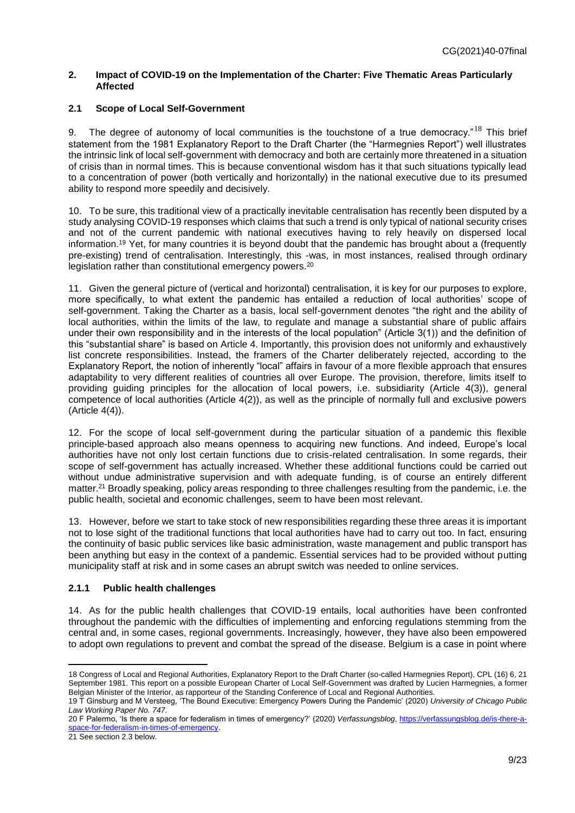## <span id="page-8-0"></span>**2. Impact of COVID-19 on the Implementation of the Charter: Five Thematic Areas Particularly Affected**

## <span id="page-8-1"></span>**2.1 Scope of Local Self-Government**

9. The degree of autonomy of local communities is the touchstone of a true democracy."<sup>18</sup> This brief statement from the 1981 Explanatory Report to the Draft Charter (the "Harmegnies Report") well illustrates the intrinsic link of local self-government with democracy and both are certainly more threatened in a situation of crisis than in normal times. This is because conventional wisdom has it that such situations typically lead to a concentration of power (both vertically and horizontally) in the national executive due to its presumed ability to respond more speedily and decisively.

10. To be sure, this traditional view of a practically inevitable centralisation has recently been disputed by a study analysing COVID-19 responses which claims that such a trend is only typical of national security crises and not of the current pandemic with national executives having to rely heavily on dispersed local information.<sup>19</sup> Yet, for many countries it is beyond doubt that the pandemic has brought about a (frequently pre-existing) trend of centralisation. Interestingly, this -was, in most instances, realised through ordinary legislation rather than constitutional emergency powers.<sup>20</sup>

11. Given the general picture of (vertical and horizontal) centralisation, it is key for our purposes to explore, more specifically, to what extent the pandemic has entailed a reduction of local authorities' scope of self-government. Taking the Charter as a basis, local self-government denotes "the right and the ability of local authorities, within the limits of the law, to regulate and manage a substantial share of public affairs under their own responsibility and in the interests of the local population" (Article 3(1)) and the definition of this "substantial share" is based on Article 4. Importantly, this provision does not uniformly and exhaustively list concrete responsibilities. Instead, the framers of the Charter deliberately rejected, according to the Explanatory Report, the notion of inherently "local" affairs in favour of a more flexible approach that ensures adaptability to very different realities of countries all over Europe. The provision, therefore, limits itself to providing guiding principles for the allocation of local powers, i.e. subsidiarity (Article 4(3)), general competence of local authorities (Article 4(2)), as well as the principle of normally full and exclusive powers (Article 4(4)).

12. For the scope of local self-government during the particular situation of a pandemic this flexible principle-based approach also means openness to acquiring new functions. And indeed, Europe's local authorities have not only lost certain functions due to crisis-related centralisation. In some regards, their scope of self-government has actually increased. Whether these additional functions could be carried out without undue administrative supervision and with adequate funding, is of course an entirely different matter.<sup>21</sup> Broadly speaking, policy areas responding to three challenges resulting from the pandemic, i.e. the public health, societal and economic challenges, seem to have been most relevant.

13. However, before we start to take stock of new responsibilities regarding these three areas it is important not to lose sight of the traditional functions that local authorities have had to carry out too. In fact, ensuring the continuity of basic public services like basic administration, waste management and public transport has been anything but easy in the context of a pandemic. Essential services had to be provided without putting municipality staff at risk and in some cases an abrupt switch was needed to online services.

## <span id="page-8-2"></span>**2.1.1 Public health challenges**

14. As for the public health challenges that COVID-19 entails, local authorities have been confronted throughout the pandemic with the difficulties of implementing and enforcing regulations stemming from the central and, in some cases, regional governments. Increasingly, however, they have also been empowered to adopt own regulations to prevent and combat the spread of the disease. Belgium is a case in point where

21 See section 2.3 below.

 $\overline{a}$ 18 Congress of Local and Regional Authorities, Explanatory Report to the Draft Charter (so-called Harmegnies Report), CPL (16) 6, 21 September 1981. This report on a possible European Charter of Local Self-Government was drafted by Lucien Harmegnies, a former Belgian Minister of the Interior, as rapporteur of the Standing Conference of Local and Regional Authorities.

<sup>19</sup> T Ginsburg and M Versteeg, 'The Bound Executive: Emergency Powers During the Pandemic' (2020) *University of Chicago Public Law Working Paper No. 747*.

<sup>20</sup> F Palermo, 'Is there a space for federalism in times of emergency?' (2020) *Verfassungsblog*[, https://verfassungsblog.de/is-there-a](https://verfassungsblog.de/is-there-a-space-for-federalism-in-times-of-emergency)[space-for-federalism-in-times-of-emergency.](https://verfassungsblog.de/is-there-a-space-for-federalism-in-times-of-emergency)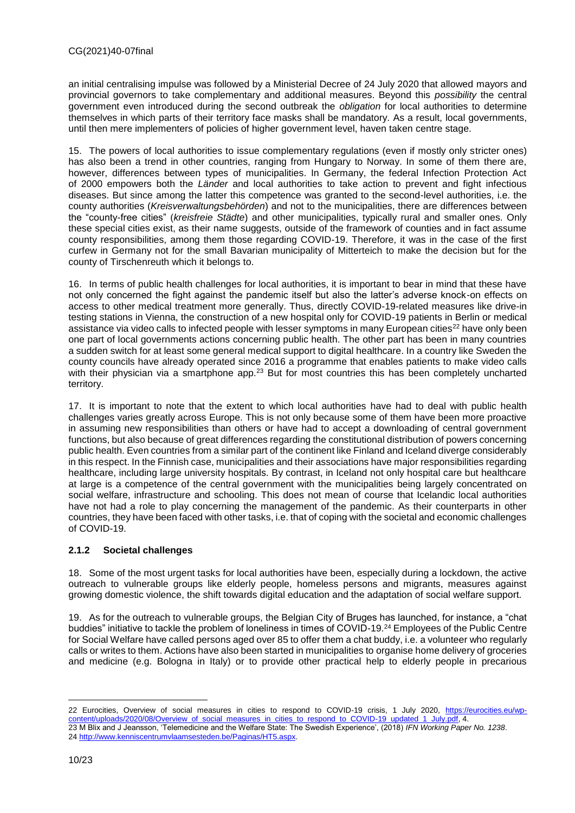an initial centralising impulse was followed by a Ministerial Decree of 24 July 2020 that allowed mayors and provincial governors to take complementary and additional measures. Beyond this *possibility* the central government even introduced during the second outbreak the *obligation* for local authorities to determine themselves in which parts of their territory face masks shall be mandatory. As a result, local governments, until then mere implementers of policies of higher government level, haven taken centre stage.

15. The powers of local authorities to issue complementary regulations (even if mostly only stricter ones) has also been a trend in other countries, ranging from Hungary to Norway. In some of them there are, however, differences between types of municipalities. In Germany, the federal Infection Protection Act of 2000 empowers both the *Länder* and local authorities to take action to prevent and fight infectious diseases. But since among the latter this competence was granted to the second-level authorities, i.e. the county authorities (*Kreisverwaltungsbehörden*) and not to the municipalities, there are differences between the "county-free cities" (*kreisfreie Städte*) and other municipalities, typically rural and smaller ones. Only these special cities exist, as their name suggests, outside of the framework of counties and in fact assume county responsibilities, among them those regarding COVID-19. Therefore, it was in the case of the first curfew in Germany not for the small Bavarian municipality of Mitterteich to make the decision but for the county of Tirschenreuth which it belongs to.

16. In terms of public health challenges for local authorities, it is important to bear in mind that these have not only concerned the fight against the pandemic itself but also the latter's adverse knock-on effects on access to other medical treatment more generally. Thus, directly COVID-19-related measures like drive-in testing stations in Vienna, the construction of a new hospital only for COVID-19 patients in Berlin or medical assistance via video calls to infected people with lesser symptoms in many European cities<sup>22</sup> have only been one part of local governments actions concerning public health. The other part has been in many countries a sudden switch for at least some general medical support to digital healthcare. In a country like Sweden the county councils have already operated since 2016 a programme that enables patients to make video calls with their physician via a smartphone app.<sup>23</sup> But for most countries this has been completely uncharted territory.

17. It is important to note that the extent to which local authorities have had to deal with public health challenges varies greatly across Europe. This is not only because some of them have been more proactive in assuming new responsibilities than others or have had to accept a downloading of central government functions, but also because of great differences regarding the constitutional distribution of powers concerning public health. Even countries from a similar part of the continent like Finland and Iceland diverge considerably in this respect. In the Finnish case, municipalities and their associations have major responsibilities regarding healthcare, including large university hospitals. By contrast, in Iceland not only hospital care but healthcare at large is a competence of the central government with the municipalities being largely concentrated on social welfare, infrastructure and schooling. This does not mean of course that Icelandic local authorities have not had a role to play concerning the management of the pandemic. As their counterparts in other countries, they have been faced with other tasks, i.e. that of coping with the societal and economic challenges of COVID-19.

## <span id="page-9-0"></span>**2.1.2 Societal challenges**

18. Some of the most urgent tasks for local authorities have been, especially during a lockdown, the active outreach to vulnerable groups like elderly people, homeless persons and migrants, measures against growing domestic violence, the shift towards digital education and the adaptation of social welfare support.

19. As for the outreach to vulnerable groups, the Belgian City of Bruges has launched, for instance, a "chat buddies" initiative to tackle the problem of loneliness in times of COVID-19.<sup>24</sup> Employees of the Public Centre for Social Welfare have called persons aged over 85 to offer them a chat buddy, i.e. a volunteer who regularly calls or writes to them. Actions have also been started in municipalities to organise home delivery of groceries and medicine (e.g. Bologna in Italy) or to provide other practical help to elderly people in precarious

<sup>22</sup> Eurocities, Overview of social measures in cities to respond to COVID-19 crisis, 1 July 2020, [https://eurocities.eu/wp](https://eurocities.eu/wp-content/uploads/2020/08/Overview_of_social_measures_in_cities_to_respond_to_COVID-19_updated_1_July.pdf)[content/uploads/2020/08/Overview\\_of\\_social\\_measures\\_in\\_cities\\_to\\_respond\\_to\\_COVID-19\\_updated\\_1\\_July.pdf,](https://eurocities.eu/wp-content/uploads/2020/08/Overview_of_social_measures_in_cities_to_respond_to_COVID-19_updated_1_July.pdf) 4.

<sup>23</sup> M Blix and J Jeansson, 'Telemedicine and the Welfare State: The Swedish Experience', (2018) *IFN Working Paper No. 1238*. 24 [http://www.kenniscentrumvlaamsesteden.be/Paginas/HT5.aspx.](http://www.kenniscentrumvlaamsesteden.be/Paginas/HT5.aspx)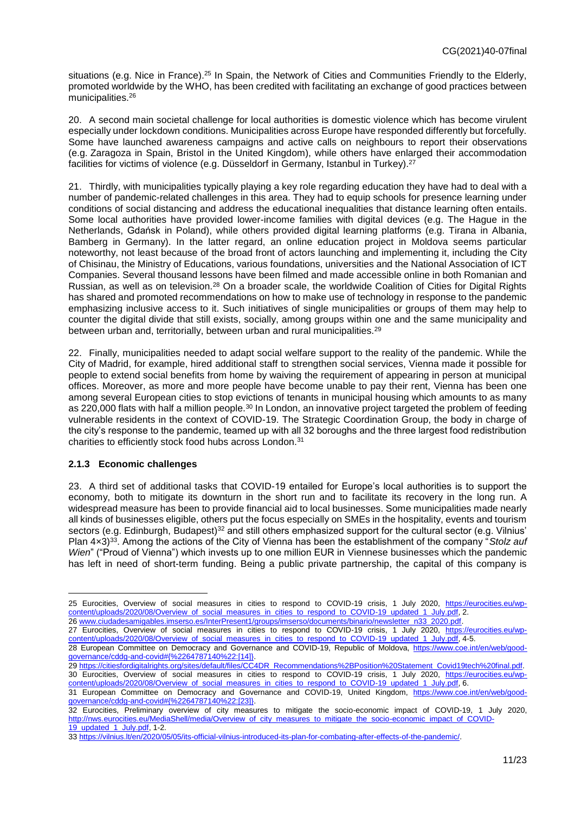situations (e.g. Nice in France).<sup>25</sup> In Spain, the Network of Cities and Communities Friendly to the Elderly, promoted worldwide by the WHO, has been credited with facilitating an exchange of good practices between municipalities.<sup>26</sup>

20. A second main societal challenge for local authorities is domestic violence which has become virulent especially under lockdown conditions. Municipalities across Europe have responded differently but forcefully. Some have launched awareness campaigns and active calls on neighbours to report their observations (e.g. Zaragoza in Spain, Bristol in the United Kingdom), while others have enlarged their accommodation facilities for victims of violence (e.g. Düsseldorf in Germany, Istanbul in Turkey).<sup>27</sup>

21. Thirdly, with municipalities typically playing a key role regarding education they have had to deal with a number of pandemic-related challenges in this area. They had to equip schools for presence learning under conditions of social distancing and address the educational inequalities that distance learning often entails. Some local authorities have provided lower-income families with digital devices (e.g. The Hague in the Netherlands, Gdańsk in Poland), while others provided digital learning platforms (e.g. Tirana in Albania, Bamberg in Germany). In the latter regard, an online education project in Moldova seems particular noteworthy, not least because of the broad front of actors launching and implementing it, including the City of Chisinau, the Ministry of Educations, various foundations, universities and the National Association of ICT Companies. Several thousand lessons have been filmed and made accessible online in both Romanian and Russian, as well as on television.<sup>28</sup> On a broader scale, the worldwide Coalition of Cities for Digital Rights has shared and promoted recommendations on how to make use of technology in response to the pandemic emphasizing inclusive access to it. Such initiatives of single municipalities or groups of them may help to counter the digital divide that still exists, socially, among groups within one and the same municipality and between urban and, territorially, between urban and rural municipalities.<sup>29</sup>

22. Finally, municipalities needed to adapt social welfare support to the reality of the pandemic. While the City of Madrid, for example, hired additional staff to strengthen social services, Vienna made it possible for people to extend social benefits from home by waiving the requirement of appearing in person at municipal offices. Moreover, as more and more people have become unable to pay their rent, Vienna has been one among several European cities to stop evictions of tenants in municipal housing which amounts to as many as 220,000 flats with half a million people.<sup>30</sup> In London, an innovative project targeted the problem of feeding vulnerable residents in the context of COVID-19. The Strategic Coordination Group, the body in charge of the city's response to the pandemic, teamed up with all 32 boroughs and the three largest food redistribution charities to efficiently stock food hubs across London.<sup>31</sup>

#### <span id="page-10-0"></span>**2.1.3 Economic challenges**

 $\overline{a}$ 

23. A third set of additional tasks that COVID-19 entailed for Europe's local authorities is to support the economy, both to mitigate its downturn in the short run and to facilitate its recovery in the long run. A widespread measure has been to provide financial aid to local businesses. Some municipalities made nearly all kinds of businesses eligible, others put the focus especially on SMEs in the hospitality, events and tourism sectors (e.g. Edinburgh, Budapest)<sup>32</sup> and still others emphasized support for the cultural sector (e.g. Vilnius' Plan 4×3)<sup>33</sup>. Among the actions of the City of Vienna has been the establishment of the company "*Stolz auf Wien*" ("Proud of Vienna") which invests up to one million EUR in Viennese businesses which the pandemic has left in need of short-term funding. Being a public private partnership, the capital of this company is

<sup>25</sup> Eurocities, Overview of social measures in cities to respond to COVID-19 crisis, 1 July 2020, [https://eurocities.eu/wp](https://eurocities.eu/wp-content/uploads/2020/08/Overview_of_social_measures_in_cities_to_respond_to_COVID-19_updated_1_July.pdf)[content/uploads/2020/08/Overview\\_of\\_social\\_measures\\_in\\_cities\\_to\\_respond\\_to\\_COVID-19\\_updated\\_1\\_July.pdf,](https://eurocities.eu/wp-content/uploads/2020/08/Overview_of_social_measures_in_cities_to_respond_to_COVID-19_updated_1_July.pdf) 2.

<sup>26</sup> [www.ciudadesamigables.imserso.es/InterPresent1/groups/imserso/documents/binario/newsletter\\_n33\\_2020.pdf.](http://www.ciudadesamigables.imserso.es/InterPresent1/groups/imserso/documents/binario/newsletter_n33_2020.pdf)

<sup>27</sup> Eurocities, Overview of social measures in cities to respond to COVID-19 crisis, 1 July 2020, [https://eurocities.eu/wp](https://eurocities.eu/wp-content/uploads/2020/08/Overview_of_social_measures_in_cities_to_respond_to_COVID-19_updated_1_July.pdf)[content/uploads/2020/08/Overview\\_of\\_social\\_measures\\_in\\_cities\\_to\\_respond\\_to\\_COVID-19\\_updated\\_1\\_July.pdf,](https://eurocities.eu/wp-content/uploads/2020/08/Overview_of_social_measures_in_cities_to_respond_to_COVID-19_updated_1_July.pdf) 4-5.

<sup>28</sup> European Committee on Democracy and Governance and COVID-19, Republic of Moldova, [https://www.coe.int/en/web/good](https://www.coe.int/en/web/good-governance/cddg-and-covid#{%2264787140%22:[14]})[governance/cddg-and-covid#{%2264787140%22:\[14\]}.](https://www.coe.int/en/web/good-governance/cddg-and-covid#{%2264787140%22:[14]})

<sup>29</sup> [https://citiesfordigitalrights.org/sites/default/files/CC4DR\\_Recommendations%2BPosition%20Statement\\_Covid19tech%20final.pdf.](https://citiesfordigitalrights.org/sites/default/files/CC4DR_Recommendations%2BPosition%20Statement_Covid19tech%20final.pdf) 30 Eurocities, Overview of social measures in cities to respond to COVID-19 crisis, 1 July 2020, [https://eurocities.eu/wp](https://eurocities.eu/wp-content/uploads/2020/08/Overview_of_social_measures_in_cities_to_respond_to_COVID-19_updated_1_July.pdf)[content/uploads/2020/08/Overview\\_of\\_social\\_measures\\_in\\_cities\\_to\\_respond\\_to\\_COVID-19\\_updated\\_1\\_July.pdf,](https://eurocities.eu/wp-content/uploads/2020/08/Overview_of_social_measures_in_cities_to_respond_to_COVID-19_updated_1_July.pdf) 6.

<sup>31</sup> European Committee on Democracy and Governance and COVID-19, United Kingdom, [https://www.coe.int/en/web/good](https://www.coe.int/en/web/good-governance/cddg-and-covid#{%2264787140%22:[23]})[governance/cddg-and-covid#{%2264787140%22:\[23\]}.](https://www.coe.int/en/web/good-governance/cddg-and-covid#{%2264787140%22:[23]})

<sup>32</sup> Eurocities, Preliminary overview of city measures to mitigate the socio-economic impact of COVID-19, 1 July 2020, [http://nws.eurocities.eu/MediaShell/media/Overview\\_of\\_city\\_measures\\_to\\_mitigate\\_the\\_socio-economic\\_impact\\_of\\_COVID-](http://nws.eurocities.eu/MediaShell/media/Overview_of_city_measures_to_mitigate_the_socio-economic_impact_of_COVID-19_updated_1_July.pdf)[19\\_updated\\_1\\_July.pdf,](http://nws.eurocities.eu/MediaShell/media/Overview_of_city_measures_to_mitigate_the_socio-economic_impact_of_COVID-19_updated_1_July.pdf) 1-2.

<sup>33</sup> [https://vilnius.lt/en/2020/05/05/its-official-vilnius-introduced-its-plan-for-combating-after-effects-of-the-pandemic/.](https://vilnius.lt/en/2020/05/05/its-official-vilnius-introduced-its-plan-for-combating-after-effects-of-the-pandemic/)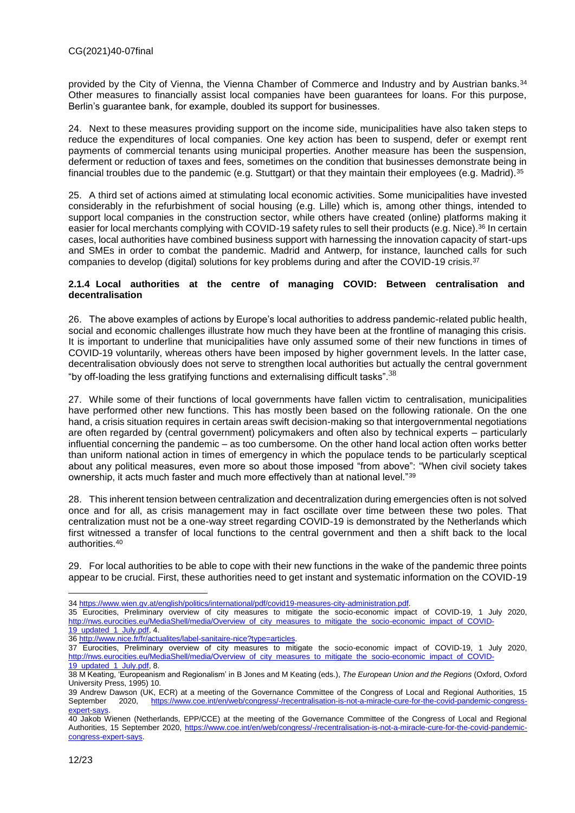provided by the City of Vienna, the Vienna Chamber of Commerce and Industry and by Austrian banks.<sup>34</sup> Other measures to financially assist local companies have been guarantees for loans. For this purpose, Berlin's guarantee bank, for example, doubled its support for businesses.

24. Next to these measures providing support on the income side, municipalities have also taken steps to reduce the expenditures of local companies. One key action has been to suspend, defer or exempt rent payments of commercial tenants using municipal properties. Another measure has been the suspension, deferment or reduction of taxes and fees, sometimes on the condition that businesses demonstrate being in financial troubles due to the pandemic (e.g. Stuttgart) or that they maintain their employees (e.g. Madrid).<sup>35</sup>

25. A third set of actions aimed at stimulating local economic activities. Some municipalities have invested considerably in the refurbishment of social housing (e.g. Lille) which is, among other things, intended to support local companies in the construction sector, while others have created (online) platforms making it easier for local merchants complying with COVID-19 safety rules to sell their products (e.g. Nice).<sup>36</sup> In certain cases, local authorities have combined business support with harnessing the innovation capacity of start-ups and SMEs in order to combat the pandemic. Madrid and Antwerp, for instance, launched calls for such companies to develop (digital) solutions for key problems during and after the COVID-19 crisis.<sup>37</sup>

#### <span id="page-11-0"></span>**2.1.4 Local authorities at the centre of managing COVID: Between centralisation and decentralisation**

26. The above examples of actions by Europe's local authorities to address pandemic-related public health, social and economic challenges illustrate how much they have been at the frontline of managing this crisis. It is important to underline that municipalities have only assumed some of their new functions in times of COVID-19 voluntarily, whereas others have been imposed by higher government levels. In the latter case, decentralisation obviously does not serve to strengthen local authorities but actually the central government "by off-loading the less gratifying functions and externalising difficult tasks".  $38$ 

27. While some of their functions of local governments have fallen victim to centralisation, municipalities have performed other new functions. This has mostly been based on the following rationale. On the one hand, a crisis situation requires in certain areas swift decision-making so that intergovernmental negotiations are often regarded by (central government) policymakers and often also by technical experts – particularly influential concerning the pandemic – as too cumbersome. On the other hand local action often works better than uniform national action in times of emergency in which the populace tends to be particularly sceptical about any political measures, even more so about those imposed "from above": "When civil society takes ownership, it acts much faster and much more effectively than at national level."<sup>39</sup>

28. This inherent tension between centralization and decentralization during emergencies often is not solved once and for all, as crisis management may in fact oscillate over time between these two poles. That centralization must not be a one-way street regarding COVID-19 is demonstrated by the Netherlands which first witnessed a transfer of local functions to the central government and then a shift back to the local authorities.<sup>40</sup>

29. For local authorities to be able to cope with their new functions in the wake of the pandemic three points appear to be crucial. First, these authorities need to get instant and systematic information on the COVID-19

35 Eurocities, Preliminary overview of city measures to mitigate the socio-economic impact of COVID-19, 1 July 2020, [http://nws.eurocities.eu/MediaShell/media/Overview\\_of\\_city\\_measures\\_to\\_mitigate\\_the\\_socio-economic\\_impact\\_of\\_COVID-](http://nws.eurocities.eu/MediaShell/media/Overview_of_city_measures_to_mitigate_the_socio-economic_impact_of_COVID-19_updated_1_July.pdf)[19\\_updated\\_1\\_July.pdf,](http://nws.eurocities.eu/MediaShell/media/Overview_of_city_measures_to_mitigate_the_socio-economic_impact_of_COVID-19_updated_1_July.pdf) 4.

36 [http://www.nice.fr/fr/actualites/label-sanitaire-nice?type=articles.](http://www.nice.fr/fr/actualites/label-sanitaire-nice?type=articles) 

<sup>34</sup> [https://www.wien.gv.at/english/politics/international/pdf/covid19-measures-city-administration.pdf.](https://www.wien.gv.at/english/politics/international/pdf/covid19-measures-city-administration.pdf)

<sup>37</sup> Eurocities, Preliminary overview of city measures to mitigate the socio-economic impact of COVID-19, 1 July 2020, [http://nws.eurocities.eu/MediaShell/media/Overview\\_of\\_city\\_measures\\_to\\_mitigate\\_the\\_socio-economic\\_impact\\_of\\_COVID-](http://nws.eurocities.eu/MediaShell/media/Overview_of_city_measures_to_mitigate_the_socio-economic_impact_of_COVID-19_updated_1_July.pdf)[19\\_updated\\_1\\_July.pdf,](http://nws.eurocities.eu/MediaShell/media/Overview_of_city_measures_to_mitigate_the_socio-economic_impact_of_COVID-19_updated_1_July.pdf) 8.

<sup>38</sup> M Keating, 'Europeanism and Regionalism' in B Jones and M Keating (eds.), *The European Union and the Regions* (Oxford, Oxford University Press, 1995) 10.

<sup>39</sup> Andrew Dawson (UK, ECR) at a meeting of the Governance Committee of the Congress of Local and Regional Authorities, 15 September 2020, [https://www.coe.int/en/web/congress/-/recentralisation-is-not-a-miracle-cure-for-the-covid-pandemic-congress](https://www.coe.int/en/web/congress/-/recentralisation-is-not-a-miracle-cure-for-the-covid-pandemic-congress-expert-says)[expert-says.](https://www.coe.int/en/web/congress/-/recentralisation-is-not-a-miracle-cure-for-the-covid-pandemic-congress-expert-says)

<sup>40</sup> Jakob Wienen (Netherlands, EPP/CCE) at the meeting of the Governance Committee of the Congress of Local and Regional Authorities, 15 September 2020, [https://www.coe.int/en/web/congress/-/recentralisation-is-not-a-miracle-cure-for-the-covid-pandemic](https://www.coe.int/en/web/congress/-/recentralisation-is-not-a-miracle-cure-for-the-covid-pandemic-congress-expert-says)[congress-expert-says.](https://www.coe.int/en/web/congress/-/recentralisation-is-not-a-miracle-cure-for-the-covid-pandemic-congress-expert-says)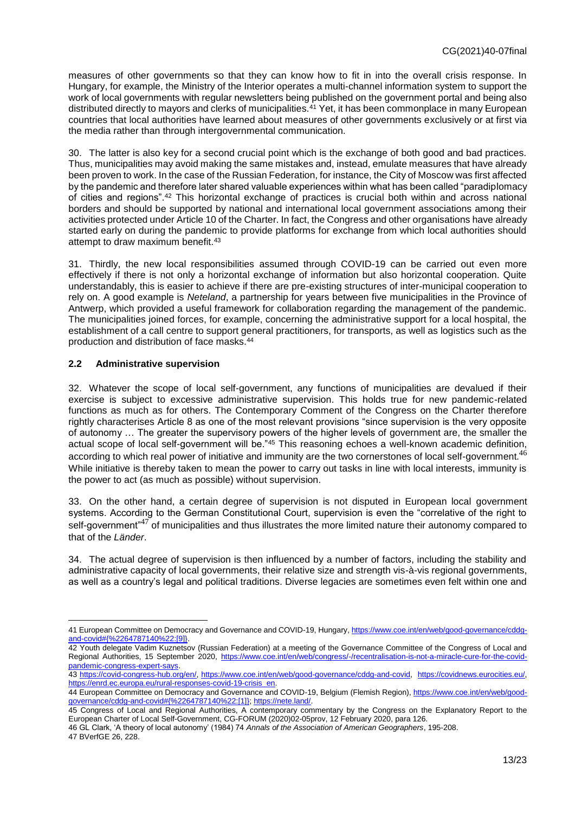measures of other governments so that they can know how to fit in into the overall crisis response. In Hungary, for example, the Ministry of the Interior operates a multi-channel information system to support the work of local governments with regular newsletters being published on the government portal and being also distributed directly to mayors and clerks of municipalities.<sup>41</sup> Yet, it has been commonplace in many European countries that local authorities have learned about measures of other governments exclusively or at first via the media rather than through intergovernmental communication.

30. The latter is also key for a second crucial point which is the exchange of both good and bad practices. Thus, municipalities may avoid making the same mistakes and, instead, emulate measures that have already been proven to work. In the case of the Russian Federation, for instance, the City of Moscow was first affected by the pandemic and therefore later shared valuable experiences within what has been called "paradiplomacy of cities and regions".<sup>42</sup> This horizontal exchange of practices is crucial both within and across national borders and should be supported by national and international local government associations among their activities protected under Article 10 of the Charter. In fact, the Congress and other organisations have already started early on during the pandemic to provide platforms for exchange from which local authorities should attempt to draw maximum benefit.<sup>43</sup>

31. Thirdly, the new local responsibilities assumed through COVID-19 can be carried out even more effectively if there is not only a horizontal exchange of information but also horizontal cooperation. Quite understandably, this is easier to achieve if there are pre-existing structures of inter-municipal cooperation to rely on. A good example is *Neteland*, a partnership for years between five municipalities in the Province of Antwerp, which provided a useful framework for collaboration regarding the management of the pandemic. The municipalities joined forces, for example, concerning the administrative support for a local hospital, the establishment of a call centre to support general practitioners, for transports, as well as logistics such as the production and distribution of face masks.<sup>44</sup>

## <span id="page-12-0"></span>**2.2 Administrative supervision**

32. Whatever the scope of local self-government, any functions of municipalities are devalued if their exercise is subject to excessive administrative supervision. This holds true for new pandemic-related functions as much as for others. The Contemporary Comment of the Congress on the Charter therefore rightly characterises Article 8 as one of the most relevant provisions "since supervision is the very opposite of autonomy … The greater the supervisory powers of the higher levels of government are, the smaller the actual scope of local self-government will be."<sup>45</sup> This reasoning echoes a well-known academic definition, according to which real power of initiative and immunity are the two cornerstones of local self-government.<sup>46</sup> While initiative is thereby taken to mean the power to carry out tasks in line with local interests, immunity is the power to act (as much as possible) without supervision.

33. On the other hand, a certain degree of supervision is not disputed in European local government systems. According to the German Constitutional Court, supervision is even the "correlative of the right to self-government" $47$  of municipalities and thus illustrates the more limited nature their autonomy compared to that of the *Länder*.

34. The actual degree of supervision is then influenced by a number of factors, including the stability and administrative capacity of local governments, their relative size and strength vis-à-vis regional governments, as well as a country's legal and political traditions. Diverse legacies are sometimes even felt within one and

46 GL Clark, 'A theory of local autonomy' (1984) 74 *Annals of the Association of American Geographers*, 195-208.

47 BVerfGE 26, 228.

<sup>41</sup> European Committee on Democracy and Governance and COVID-19, Hungary[, https://www.coe.int/en/web/good-governance/cddg](https://www.coe.int/en/web/good-governance/cddg-and-covid#{%2264787140%22:[9]})[and-covid#{%2264787140%22:\[9\]}.](https://www.coe.int/en/web/good-governance/cddg-and-covid#{%2264787140%22:[9]})

<sup>42</sup> Youth delegate Vadim Kuznetsov (Russian Federation) at a meeting of the Governance Committee of the Congress of Local and Regional Authorities, 15 September 2020, [https://www.coe.int/en/web/congress/-/recentralisation-is-not-a-miracle-cure-for-the-covid](https://www.coe.int/en/web/congress/-/recentralisation-is-not-a-miracle-cure-for-the-covid-pandemic-congress-expert-says)[pandemic-congress-expert-says.](https://www.coe.int/en/web/congress/-/recentralisation-is-not-a-miracle-cure-for-the-covid-pandemic-congress-expert-says)

<sup>43</sup> [https://covid-congress-hub.org/en/,](https://covid-congress-hub.org/en/) [https://www.coe.int/en/web/good-governance/cddg-and-covid,](https://www.coe.int/en/web/good-governance/cddg-and-covid) [https://covidnews.eurocities.eu/,](https://covidnews.eurocities.eu/)  [https://enrd.ec.europa.eu/rural-responses-covid-19-crisis\\_en.](https://enrd.ec.europa.eu/rural-responses-covid-19-crisis_en)

<sup>44</sup> European Committee on Democracy and Governance and COVID-19, Belgium (Flemish Region), [https://www.coe.int/en/web/good](https://www.coe.int/en/web/good-governance/cddg-and-covid#{%2264787140%22:[1]})[governance/cddg-and-covid#{%2264787140%22:\[1\]};](https://www.coe.int/en/web/good-governance/cddg-and-covid#{%2264787140%22:[1]}) [https://nete.land/.](https://nete.land/)

<sup>45</sup> Congress of Local and Regional Authorities, A contemporary commentary by the Congress on the Explanatory Report to the European Charter of Local Self-Government, CG-FORUM (2020)02-05prov, 12 February 2020, para 126.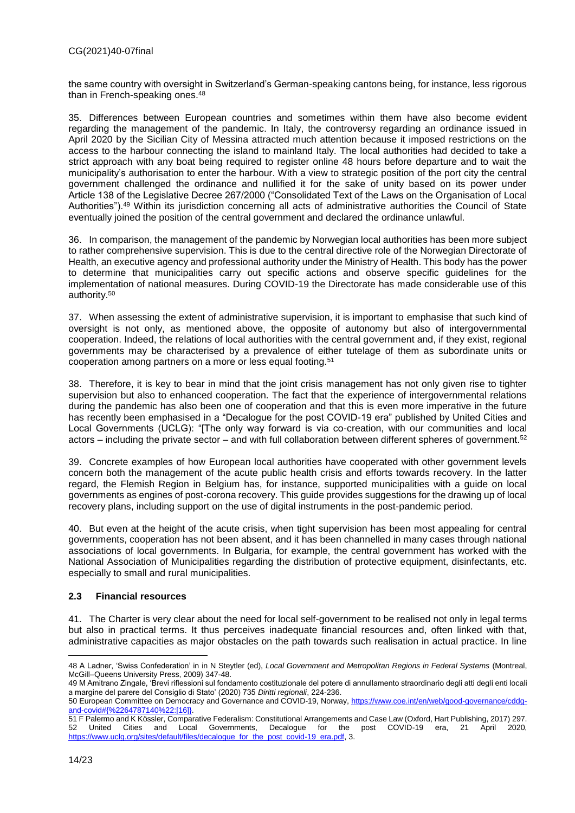the same country with oversight in Switzerland's German-speaking cantons being, for instance, less rigorous than in French-speaking ones.<sup>48</sup>

35. Differences between European countries and sometimes within them have also become evident regarding the management of the pandemic. In Italy, the controversy regarding an ordinance issued in April 2020 by the Sicilian City of Messina attracted much attention because it imposed restrictions on the access to the harbour connecting the island to mainland Italy. The local authorities had decided to take a strict approach with any boat being required to register online 48 hours before departure and to wait the municipality's authorisation to enter the harbour. With a view to strategic position of the port city the central government challenged the ordinance and nullified it for the sake of unity based on its power under Article 138 of the Legislative Decree 267/2000 ("Consolidated Text of the Laws on the Organisation of Local Authorities").<sup>49</sup> Within its jurisdiction concerning all acts of administrative authorities the Council of State eventually joined the position of the central government and declared the ordinance unlawful.

36. In comparison, the management of the pandemic by Norwegian local authorities has been more subject to rather comprehensive supervision. This is due to the central directive role of the Norwegian Directorate of Health, an executive agency and professional authority under the Ministry of Health. This body has the power to determine that municipalities carry out specific actions and observe specific guidelines for the implementation of national measures. During COVID-19 the Directorate has made considerable use of this authority.<sup>50</sup>

37. When assessing the extent of administrative supervision, it is important to emphasise that such kind of oversight is not only, as mentioned above, the opposite of autonomy but also of intergovernmental cooperation. Indeed, the relations of local authorities with the central government and, if they exist, regional governments may be characterised by a prevalence of either tutelage of them as subordinate units or cooperation among partners on a more or less equal footing.<sup>51</sup>

38. Therefore, it is key to bear in mind that the joint crisis management has not only given rise to tighter supervision but also to enhanced cooperation. The fact that the experience of intergovernmental relations during the pandemic has also been one of cooperation and that this is even more imperative in the future has recently been emphasised in a "Decalogue for the post COVID-19 era" published by United Cities and Local Governments (UCLG): "[The only way forward is via co-creation, with our communities and local actors – including the private sector – and with full collaboration between different spheres of government.<sup>52</sup>

39. Concrete examples of how European local authorities have cooperated with other government levels concern both the management of the acute public health crisis and efforts towards recovery. In the latter regard, the Flemish Region in Belgium has, for instance, supported municipalities with a guide on local governments as engines of post-corona recovery. This guide provides suggestions for the drawing up of local recovery plans, including support on the use of digital instruments in the post-pandemic period.

40. But even at the height of the acute crisis, when tight supervision has been most appealing for central governments, cooperation has not been absent, and it has been channelled in many cases through national associations of local governments. In Bulgaria, for example, the central government has worked with the National Association of Municipalities regarding the distribution of protective equipment, disinfectants, etc. especially to small and rural municipalities.

#### <span id="page-13-0"></span>**2.3 Financial resources**

41. The Charter is very clear about the need for local self-government to be realised not only in legal terms but also in practical terms. It thus perceives inadequate financial resources and, often linked with that, administrative capacities as major obstacles on the path towards such realisation in actual practice. In line

 $\overline{a}$ 48 A Ladner, 'Swiss Confederation' in in N Steytler (ed), *Local Government and Metropolitan Regions in Federal Systems* (Montreal, McGill–Queens University Press, 2009) 347-48.

<sup>49</sup> M Amitrano Zingale, 'Brevi riflessioni sul fondamento costituzionale del potere di annullamento straordinario degli atti degli enti locali a margine del parere del Consiglio di Stato' (2020) 735 *Diritti regionali*, 224-236.

<sup>50</sup> European Committee on Democracy and Governance and COVID-19, Norway, [https://www.coe.int/en/web/good-governance/cddg](https://www.coe.int/en/web/good-governance/cddg-and-covid#{%2264787140%22:[16]})[and-covid#{%2264787140%22:\[16\]}.](https://www.coe.int/en/web/good-governance/cddg-and-covid#{%2264787140%22:[16]})

<sup>51</sup> F Palermo and K Kössler, Comparative Federalism: Constitutional Arrangements and Case Law (Oxford, Hart Publishing, 2017) 297. 52 United Cities and Local Governments, Decalogue for the post COVID-19 era, 21 April 2020, [https://www.uclg.org/sites/default/files/decalogue\\_for\\_the\\_post\\_covid-19\\_era.pdf,](https://www.uclg.org/sites/default/files/decalogue_for_the_post_covid-19_era.pdf) 3.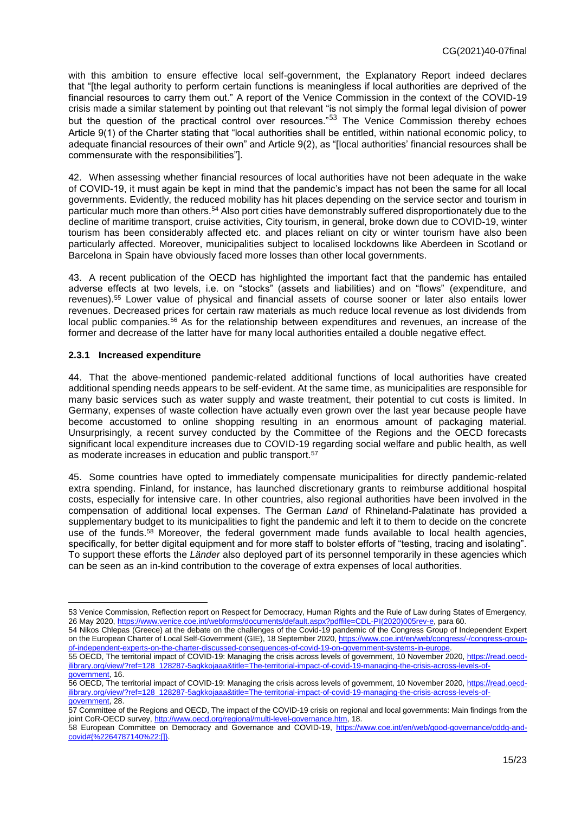with this ambition to ensure effective local self-government, the Explanatory Report indeed declares that "[the legal authority to perform certain functions is meaningless if local authorities are deprived of the financial resources to carry them out." A report of the Venice Commission in the context of the COVID-19 crisis made a similar statement by pointing out that relevant "is not simply the formal legal division of power but the question of the practical control over resources."<sup>53</sup> The Venice Commission thereby echoes Article 9(1) of the Charter stating that "local authorities shall be entitled, within national economic policy, to adequate financial resources of their own" and Article 9(2), as "[local authorities' financial resources shall be commensurate with the responsibilities"].

42. When assessing whether financial resources of local authorities have not been adequate in the wake of COVID-19, it must again be kept in mind that the pandemic's impact has not been the same for all local governments. Evidently, the reduced mobility has hit places depending on the service sector and tourism in particular much more than others.<sup>54</sup> Also port cities have demonstrably suffered disproportionately due to the decline of maritime transport, cruise activities, City tourism, in general, broke down due to COVID-19, winter tourism has been considerably affected etc. and places reliant on city or winter tourism have also been particularly affected. Moreover, municipalities subject to localised lockdowns like Aberdeen in Scotland or Barcelona in Spain have obviously faced more losses than other local governments.

43. A recent publication of the OECD has highlighted the important fact that the pandemic has entailed adverse effects at two levels, i.e. on "stocks" (assets and liabilities) and on "flows" (expenditure, and revenues).<sup>55</sup> Lower value of physical and financial assets of course sooner or later also entails lower revenues. Decreased prices for certain raw materials as much reduce local revenue as lost dividends from local public companies.<sup>56</sup> As for the relationship between expenditures and revenues, an increase of the former and decrease of the latter have for many local authorities entailed a double negative effect.

## <span id="page-14-0"></span>**2.3.1 Increased expenditure**

 $\overline{a}$ 

44. That the above-mentioned pandemic-related additional functions of local authorities have created additional spending needs appears to be self-evident. At the same time, as municipalities are responsible for many basic services such as water supply and waste treatment, their potential to cut costs is limited. In Germany, expenses of waste collection have actually even grown over the last year because people have become accustomed to online shopping resulting in an enormous amount of packaging material. Unsurprisingly, a recent survey conducted by the Committee of the Regions and the OECD forecasts significant local expenditure increases due to COVID-19 regarding social welfare and public health, as well as moderate increases in education and public transport.<sup>57</sup>

45. Some countries have opted to immediately compensate municipalities for directly pandemic-related extra spending. Finland, for instance, has launched discretionary grants to reimburse additional hospital costs, especially for intensive care. In other countries, also regional authorities have been involved in the compensation of additional local expenses. The German *Land* of Rhineland-Palatinate has provided a supplementary budget to its municipalities to fight the pandemic and left it to them to decide on the concrete use of the funds.<sup>58</sup> Moreover, the federal government made funds available to local health agencies, specifically, for better digital equipment and for more staff to bolster efforts of "testing, tracing and isolating". To support these efforts the *Länder* also deployed part of its personnel temporarily in these agencies which can be seen as an in-kind contribution to the coverage of extra expenses of local authorities.

<sup>53</sup> Venice Commission, Reflection report on Respect for Democracy, Human Rights and the Rule of Law during States of Emergency, 26 May 2020[, https://www.venice.coe.int/webforms/documents/default.aspx?pdffile=CDL-PI\(2020\)005rev-e,](https://www.venice.coe.int/webforms/documents/default.aspx?pdffile=CDL-PI(2020)005rev-e) para 60.

<sup>54</sup> Nikos Chlepas (Greece) at the debate on the challenges of the Covid-19 pandemic of the Congress Group of Independent Expert on the European Charter of Local Self-Government (GIE), 18 September 2020[, https://www.coe.int/en/web/congress/-/congress-group](https://www.coe.int/en/web/congress/-/congress-group-of-independent-experts-on-the-charter-discussed-consequences-of-covid-19-on-government-systems-in-europe)[of-independent-experts-on-the-charter-discussed-consequences-of-covid-19-on-government-systems-in-europe.](https://www.coe.int/en/web/congress/-/congress-group-of-independent-experts-on-the-charter-discussed-consequences-of-covid-19-on-government-systems-in-europe)

<sup>55</sup> OECD, The territorial impact of COVID-19: Managing the crisis across levels of government, 10 November 2020[, https://read.oecd](https://read.oecd-ilibrary.org/view/?ref=128_128287-5agkkojaaa&title=The-territorial-impact-of-covid-19-managing-the-crisis-across-levels-of-government)[ilibrary.org/view/?ref=128\\_128287-5agkkojaaa&title=The-territorial-impact-of-covid-19-managing-the-crisis-across-levels-of](https://read.oecd-ilibrary.org/view/?ref=128_128287-5agkkojaaa&title=The-territorial-impact-of-covid-19-managing-the-crisis-across-levels-of-government)[government,](https://read.oecd-ilibrary.org/view/?ref=128_128287-5agkkojaaa&title=The-territorial-impact-of-covid-19-managing-the-crisis-across-levels-of-government) 16.

<sup>56</sup> OECD, The territorial impact of COVID-19: Managing the crisis across levels of government, 10 November 2020[, https://read.oecd](https://read.oecd-ilibrary.org/view/?ref=128_128287-5agkkojaaa&title=The-territorial-impact-of-covid-19-managing-the-crisis-across-levels-of-government)[ilibrary.org/view/?ref=128\\_128287-5agkkojaaa&title=The-territorial-impact-of-covid-19-managing-the-crisis-across-levels-of](https://read.oecd-ilibrary.org/view/?ref=128_128287-5agkkojaaa&title=The-territorial-impact-of-covid-19-managing-the-crisis-across-levels-of-government)[government,](https://read.oecd-ilibrary.org/view/?ref=128_128287-5agkkojaaa&title=The-territorial-impact-of-covid-19-managing-the-crisis-across-levels-of-government) 28.

<sup>57</sup> Committee of the Regions and OECD, The impact of the COVID-19 crisis on regional and local governments: Main findings from the joint CoR-OECD survey, [http://www.oecd.org/regional/multi-level-governance.htm,](http://www.oecd.org/regional/multi-level-governance.htm) 18.

<sup>58</sup> European Committee on Democracy and Governance and COVID-19, [https://www.coe.int/en/web/good-governance/cddg-and](https://www.coe.int/en/web/good-governance/cddg-and-covid#{%2264787140%22:[]})[covid#{%2264787140%22:\[\]}.](https://www.coe.int/en/web/good-governance/cddg-and-covid#{%2264787140%22:[]})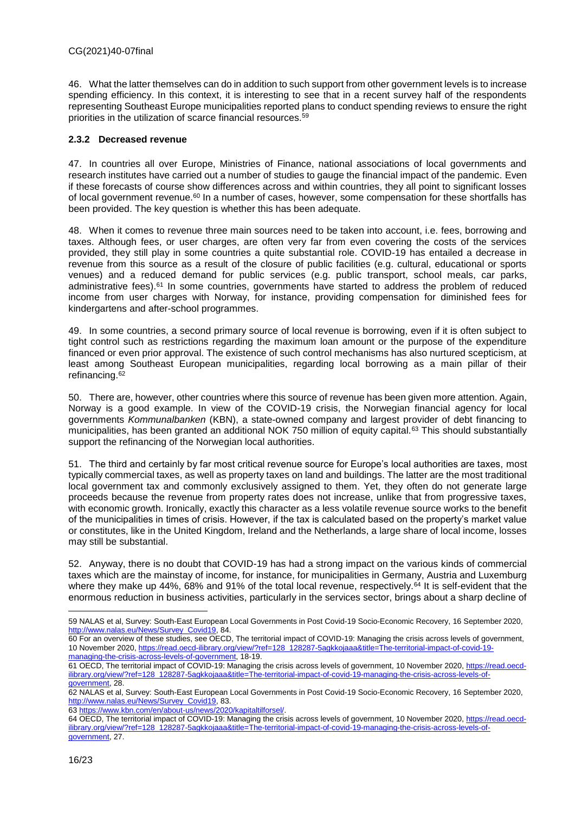46. What the latter themselves can do in addition to such support from other government levels is to increase spending efficiency. In this context, it is interesting to see that in a recent survey half of the respondents representing Southeast Europe municipalities reported plans to conduct spending reviews to ensure the right priorities in the utilization of scarce financial resources.<sup>59</sup>

## <span id="page-15-0"></span>**2.3.2 Decreased revenue**

47. In countries all over Europe, Ministries of Finance, national associations of local governments and research institutes have carried out a number of studies to gauge the financial impact of the pandemic. Even if these forecasts of course show differences across and within countries, they all point to significant losses of local government revenue.<sup>60</sup> In a number of cases, however, some compensation for these shortfalls has been provided. The key question is whether this has been adequate.

48. When it comes to revenue three main sources need to be taken into account, i.e. fees, borrowing and taxes. Although fees, or user charges, are often very far from even covering the costs of the services provided, they still play in some countries a quite substantial role. COVID-19 has entailed a decrease in revenue from this source as a result of the closure of public facilities (e.g. cultural, educational or sports venues) and a reduced demand for public services (e.g. public transport, school meals, car parks, administrative fees).<sup>61</sup> In some countries, governments have started to address the problem of reduced income from user charges with Norway, for instance, providing compensation for diminished fees for kindergartens and after-school programmes.

49. In some countries, a second primary source of local revenue is borrowing, even if it is often subject to tight control such as restrictions regarding the maximum loan amount or the purpose of the expenditure financed or even prior approval. The existence of such control mechanisms has also nurtured scepticism, at least among Southeast European municipalities, regarding local borrowing as a main pillar of their refinancing.<sup>62</sup>

50. There are, however, other countries where this source of revenue has been given more attention. Again, Norway is a good example. In view of the COVID-19 crisis, the Norwegian financial agency for local governments *Kommunalbanken* (KBN), a state-owned company and largest provider of debt financing to municipalities, has been granted an additional NOK 750 million of equity capital.<sup>63</sup> This should substantially support the refinancing of the Norwegian local authorities.

51. The third and certainly by far most critical revenue source for Europe's local authorities are taxes, most typically commercial taxes, as well as property taxes on land and buildings. The latter are the most traditional local government tax and commonly exclusively assigned to them. Yet, they often do not generate large proceeds because the revenue from property rates does not increase, unlike that from progressive taxes, with economic growth. Ironically, exactly this character as a less volatile revenue source works to the benefit of the municipalities in times of crisis. However, if the tax is calculated based on the property's market value or constitutes, like in the United Kingdom, Ireland and the Netherlands, a large share of local income, losses may still be substantial.

52. Anyway, there is no doubt that COVID-19 has had a strong impact on the various kinds of commercial taxes which are the mainstay of income, for instance, for municipalities in Germany, Austria and Luxemburg where they make up 44%, 68% and 91% of the total local revenue, respectively.<sup>64</sup> It is self-evident that the enormous reduction in business activities, particularly in the services sector, brings about a sharp decline of

63 [https://www.kbn.com/en/about-us/news/2020/kapitaltilforsel/.](https://www.kbn.com/en/about-us/news/2020/kapitaltilforsel/)

64 OECD, The territorial impact of COVID-19: Managing the crisis across levels of government, 10 November 2020[, https://read.oecd](https://read.oecd-ilibrary.org/view/?ref=128_128287-5agkkojaaa&title=The-territorial-impact-of-covid-19-managing-the-crisis-across-levels-of-government)[ilibrary.org/view/?ref=128\\_128287-5agkkojaaa&title=The-territorial-impact-of-covid-19-managing-the-crisis-across-levels-of](https://read.oecd-ilibrary.org/view/?ref=128_128287-5agkkojaaa&title=The-territorial-impact-of-covid-19-managing-the-crisis-across-levels-of-government)[government,](https://read.oecd-ilibrary.org/view/?ref=128_128287-5agkkojaaa&title=The-territorial-impact-of-covid-19-managing-the-crisis-across-levels-of-government) 27.

 $\overline{a}$ 59 NALAS et al, Survey: South-East European Local Governments in Post Covid-19 Socio-Economic Recovery, 16 September 2020, [http://www.nalas.eu/News/Survey\\_Covid19,](http://www.nalas.eu/News/Survey_Covid19) 84.

<sup>60</sup> For an overview of these studies, see OECD, The territorial impact of COVID-19: Managing the crisis across levels of government, 10 November 2020[, https://read.oecd-ilibrary.org/view/?ref=128\\_128287-5agkkojaaa&title=The-territorial-impact-of-covid-19](https://read.oecd-ilibrary.org/view/?ref=128_128287-5agkkojaaa&title=The-territorial-impact-of-covid-19-managing-the-crisis-across-levels-of-government) [managing-the-crisis-across-levels-of-government,](https://read.oecd-ilibrary.org/view/?ref=128_128287-5agkkojaaa&title=The-territorial-impact-of-covid-19-managing-the-crisis-across-levels-of-government) 18-19.

<sup>61</sup> OECD, The territorial impact of COVID-19: Managing the crisis across levels of government, 10 November 2020[, https://read.oecd](https://read.oecd-ilibrary.org/view/?ref=128_128287-5agkkojaaa&title=The-territorial-impact-of-covid-19-managing-the-crisis-across-levels-of-government)[ilibrary.org/view/?ref=128\\_128287-5agkkojaaa&title=The-territorial-impact-of-covid-19-managing-the-crisis-across-levels-of](https://read.oecd-ilibrary.org/view/?ref=128_128287-5agkkojaaa&title=The-territorial-impact-of-covid-19-managing-the-crisis-across-levels-of-government)[government,](https://read.oecd-ilibrary.org/view/?ref=128_128287-5agkkojaaa&title=The-territorial-impact-of-covid-19-managing-the-crisis-across-levels-of-government) 28.

<sup>62</sup> NALAS et al, Survey: South-East European Local Governments in Post Covid-19 Socio-Economic Recovery, 16 September 2020, [http://www.nalas.eu/News/Survey\\_Covid19,](http://www.nalas.eu/News/Survey_Covid19) 83.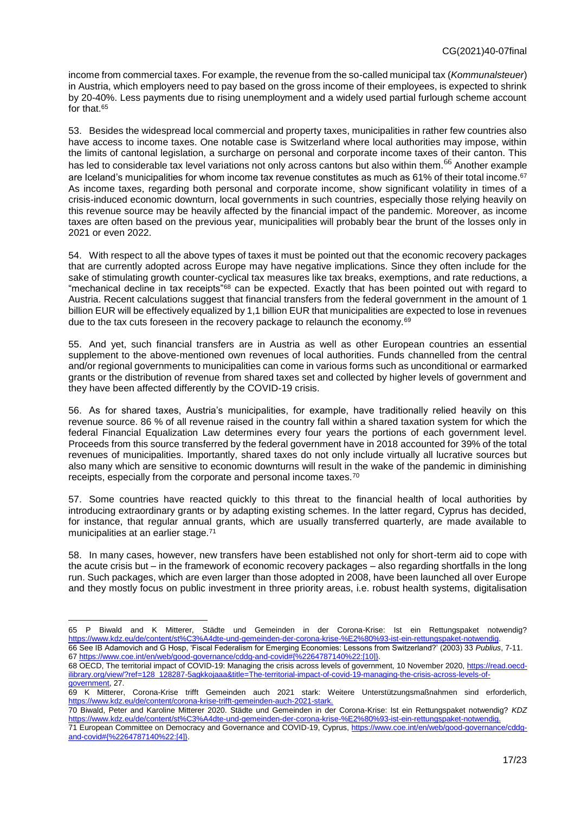income from commercial taxes. For example, the revenue from the so-called municipal tax (*Kommunalsteuer*) in Austria, which employers need to pay based on the gross income of their employees, is expected to shrink by 20-40%. Less payments due to rising unemployment and a widely used partial furlough scheme account for that.<sup>65</sup>

53. Besides the widespread local commercial and property taxes, municipalities in rather few countries also have access to income taxes. One notable case is Switzerland where local authorities may impose, within the limits of cantonal legislation, a surcharge on personal and corporate income taxes of their canton. This has led to considerable tax level variations not only across cantons but also within them.<sup>66</sup> Another example are Iceland's municipalities for whom income tax revenue constitutes as much as 61% of their total income.<sup>67</sup> As income taxes, regarding both personal and corporate income, show significant volatility in times of a crisis-induced economic downturn, local governments in such countries, especially those relying heavily on this revenue source may be heavily affected by the financial impact of the pandemic. Moreover, as income taxes are often based on the previous year, municipalities will probably bear the brunt of the losses only in 2021 or even 2022.

54. With respect to all the above types of taxes it must be pointed out that the economic recovery packages that are currently adopted across Europe may have negative implications. Since they often include for the sake of stimulating growth counter-cyclical tax measures like tax breaks, exemptions, and rate reductions, a "mechanical decline in tax receipts"<sup>68</sup> can be expected. Exactly that has been pointed out with regard to Austria. Recent calculations suggest that financial transfers from the federal government in the amount of 1 billion EUR will be effectively equalized by 1,1 billion EUR that municipalities are expected to lose in revenues due to the tax cuts foreseen in the recovery package to relaunch the economy.<sup>69</sup>

55. And yet, such financial transfers are in Austria as well as other European countries an essential supplement to the above-mentioned own revenues of local authorities. Funds channelled from the central and/or regional governments to municipalities can come in various forms such as unconditional or earmarked grants or the distribution of revenue from shared taxes set and collected by higher levels of government and they have been affected differently by the COVID-19 crisis.

56. As for shared taxes, Austria's municipalities, for example, have traditionally relied heavily on this revenue source. 86 % of all revenue raised in the country fall within a shared taxation system for which the federal Financial Equalization Law determines every four years the portions of each government level. Proceeds from this source transferred by the federal government have in 2018 accounted for 39% of the total revenues of municipalities. Importantly, shared taxes do not only include virtually all lucrative sources but also many which are sensitive to economic downturns will result in the wake of the pandemic in diminishing receipts, especially from the corporate and personal income taxes.<sup>70</sup>

57. Some countries have reacted quickly to this threat to the financial health of local authorities by introducing extraordinary grants or by adapting existing schemes. In the latter regard, Cyprus has decided, for instance, that regular annual grants, which are usually transferred quarterly, are made available to municipalities at an earlier stage.<sup>71</sup>

58. In many cases, however, new transfers have been established not only for short-term aid to cope with the acute crisis but – in the framework of economic recovery packages – also regarding shortfalls in the long run. Such packages, which are even larger than those adopted in 2008, have been launched all over Europe and they mostly focus on public investment in three priority areas, i.e. robust health systems, digitalisation

<sup>65</sup> P Biwald and K Mitterer, Städte und Gemeinden in der Corona-Krise: Ist ein Rettungspaket notwendig? [https://www.kdz.eu/de/content/st%C3%A4dte-und-gemeinden-der-corona-krise-%E2%80%93-ist-ein-rettungspaket-notwendig.](https://www.kdz.eu/de/content/st%C3%A4dte-und-gemeinden-der-corona-krise-%E2%80%93-ist-ein-rettungspaket-notwendig) 66 See IB Adamovich and G Hosp, 'Fiscal Federalism for Emerging Economies: Lessons from Switzerland?' (2003) 33 *Publius*, 7-11.

<sup>67</sup> [https://www.coe.int/en/web/good-governance/cddg-and-covid#{%2264787140%22:\[10\]}.](https://www.coe.int/en/web/good-governance/cddg-and-covid#{%2264787140%22:[10]}) 68 OECD, The territorial impact of COVID-19: Managing the crisis across levels of government, 10 November 2020[, https://read.oecd](https://read.oecd-ilibrary.org/view/?ref=128_128287-5agkkojaaa&title=The-territorial-impact-of-covid-19-managing-the-crisis-across-levels-of-government)[ilibrary.org/view/?ref=128\\_128287-5agkkojaaa&title=The-territorial-impact-of-covid-19-managing-the-crisis-across-levels-of](https://read.oecd-ilibrary.org/view/?ref=128_128287-5agkkojaaa&title=The-territorial-impact-of-covid-19-managing-the-crisis-across-levels-of-government)[government,](https://read.oecd-ilibrary.org/view/?ref=128_128287-5agkkojaaa&title=The-territorial-impact-of-covid-19-managing-the-crisis-across-levels-of-government) 27.

<sup>69</sup> K Mitterer, Corona-Krise trifft Gemeinden auch 2021 stark: Weitere Unterstützungsmaßnahmen sind erforderlich, [https://www.kdz.eu/de/content/corona-krise-trifft-gemeinden-auch-2021-stark.](https://www.kdz.eu/de/content/corona-krise-trifft-gemeinden-auch-2021-stark)

<sup>70</sup> Biwald, Peter and Karoline Mitterer 2020. Städte und Gemeinden in der Corona-Krise: Ist ein Rettungspaket notwendig? *KDZ* [https://www.kdz.eu/de/content/st%C3%A4dte-und-gemeinden-der-corona-krise-%E2%80%93-ist-ein-rettungspaket-notwendig.](https://www.kdz.eu/de/content/st%C3%A4dte-und-gemeinden-der-corona-krise-%E2%80%93-ist-ein-rettungspaket-notwendig) 

<sup>71</sup> European Committee on Democracy and Governance and COVID-19, Cyprus, [https://www.coe.int/en/web/good-governance/cddg](https://www.coe.int/en/web/good-governance/cddg-and-covid#{%2264787140%22:[4]})[and-covid#{%2264787140%22:\[4\]}.](https://www.coe.int/en/web/good-governance/cddg-and-covid#{%2264787140%22:[4]})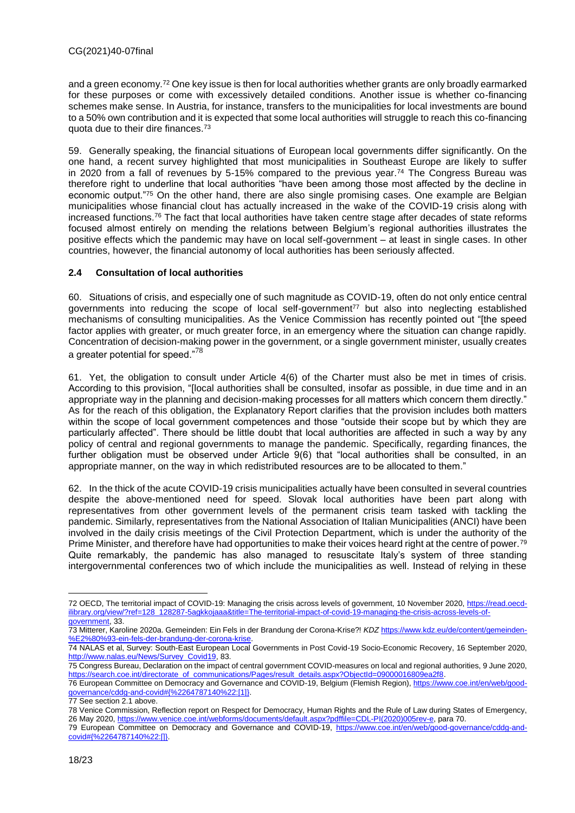and a green economy.<sup>72</sup> One key issue is then for local authorities whether grants are only broadly earmarked for these purposes or come with excessively detailed conditions. Another issue is whether co-financing schemes make sense. In Austria, for instance, transfers to the municipalities for local investments are bound to a 50% own contribution and it is expected that some local authorities will struggle to reach this co-financing quota due to their dire finances.<sup>73</sup>

59. Generally speaking, the financial situations of European local governments differ significantly. On the one hand, a recent survey highlighted that most municipalities in Southeast Europe are likely to suffer in 2020 from a fall of revenues by 5-15% compared to the previous year.<sup>74</sup> The Congress Bureau was therefore right to underline that local authorities "have been among those most affected by the decline in economic output."<sup>75</sup> On the other hand, there are also single promising cases. One example are Belgian municipalities whose financial clout has actually increased in the wake of the COVID-19 crisis along with increased functions.<sup>76</sup> The fact that local authorities have taken centre stage after decades of state reforms focused almost entirely on mending the relations between Belgium's regional authorities illustrates the positive effects which the pandemic may have on local self-government – at least in single cases. In other countries, however, the financial autonomy of local authorities has been seriously affected.

## <span id="page-17-0"></span>**2.4 Consultation of local authorities**

60. Situations of crisis, and especially one of such magnitude as COVID-19, often do not only entice central governments into reducing the scope of local self-government<sup>77</sup> but also into neglecting established mechanisms of consulting municipalities. As the Venice Commission has recently pointed out "[the speed factor applies with greater, or much greater force, in an emergency where the situation can change rapidly. Concentration of decision-making power in the government, or a single government minister, usually creates a greater potential for speed."<sup>78</sup>

61. Yet, the obligation to consult under Article 4(6) of the Charter must also be met in times of crisis. According to this provision, "[local authorities shall be consulted, insofar as possible, in due time and in an appropriate way in the planning and decision-making processes for all matters which concern them directly." As for the reach of this obligation, the Explanatory Report clarifies that the provision includes both matters within the scope of local government competences and those "outside their scope but by which they are particularly affected". There should be little doubt that local authorities are affected in such a way by any policy of central and regional governments to manage the pandemic. Specifically, regarding finances, the further obligation must be observed under Article 9(6) that "local authorities shall be consulted, in an appropriate manner, on the way in which redistributed resources are to be allocated to them."

62. In the thick of the acute COVID-19 crisis municipalities actually have been consulted in several countries despite the above-mentioned need for speed. Slovak local authorities have been part along with representatives from other government levels of the permanent crisis team tasked with tackling the pandemic. Similarly, representatives from the National Association of Italian Municipalities (ANCI) have been involved in the daily crisis meetings of the Civil Protection Department, which is under the authority of the Prime Minister, and therefore have had opportunities to make their voices heard right at the centre of power.<sup>79</sup> Quite remarkably, the pandemic has also managed to resuscitate Italy's system of three standing intergovernmental conferences two of which include the municipalities as well. Instead of relying in these

<sup>72</sup> OECD, The territorial impact of COVID-19: Managing the crisis across levels of government, 10 November 2020[, https://read.oecd](https://read.oecd-ilibrary.org/view/?ref=128_128287-5agkkojaaa&title=The-territorial-impact-of-covid-19-managing-the-crisis-across-levels-of-government)[ilibrary.org/view/?ref=128\\_128287-5agkkojaaa&title=The-territorial-impact-of-covid-19-managing-the-crisis-across-levels-of](https://read.oecd-ilibrary.org/view/?ref=128_128287-5agkkojaaa&title=The-territorial-impact-of-covid-19-managing-the-crisis-across-levels-of-government)[government,](https://read.oecd-ilibrary.org/view/?ref=128_128287-5agkkojaaa&title=The-territorial-impact-of-covid-19-managing-the-crisis-across-levels-of-government) 33.

<sup>73</sup> Mitterer, Karoline 2020a. Gemeinden: Ein Fels in der Brandung der Corona-Krise?! *KDZ* [https://www.kdz.eu/de/content/gemeinden-](https://www.kdz.eu/de/content/gemeinden-%E2%80%93-ein-fels-der-brandung-der-corona-krise) %E2%80%93-ein-fels-der-brandung-der-corona-kr

<sup>74</sup> NALAS et al, Survey: South-East European Local Governments in Post Covid-19 Socio-Economic Recovery, 16 September 2020, [http://www.nalas.eu/News/Survey\\_Covid19,](http://www.nalas.eu/News/Survey_Covid19) 83.

<sup>75</sup> Congress Bureau, Declaration on the impact of central government COVID-measures on local and regional authorities, 9 June 2020, [https://search.coe.int/directorate\\_of\\_communications/Pages/result\\_details.aspx?ObjectId=09000016809ea2f8.](https://search.coe.int/directorate_of_communications/Pages/result_details.aspx?ObjectId=09000016809ea2f8) 

<sup>76</sup> European Committee on Democracy and Governance and COVID-19, Belgium (Flemish Region), [https://www.coe.int/en/web/good](https://www.coe.int/en/web/good-governance/cddg-and-covid#{%2264787140%22:[1]})[governance/cddg-and-covid#{%2264787140%22:\[1\]}.](https://www.coe.int/en/web/good-governance/cddg-and-covid#{%2264787140%22:[1]})

<sup>77</sup> See section 2.1 above.

<sup>78</sup> Venice Commission, Reflection report on Respect for Democracy, Human Rights and the Rule of Law during States of Emergency,

<sup>26</sup> May 2020[, https://www.venice.coe.int/webforms/documents/default.aspx?pdffile=CDL-PI\(2020\)005rev-e,](https://www.venice.coe.int/webforms/documents/default.aspx?pdffile=CDL-PI(2020)005rev-e) para 70. 79 European Committee on Democracy and Governance and COVID-19, [https://www.coe.int/en/web/good-governance/cddg-and](https://www.coe.int/en/web/good-governance/cddg-and-covid#{%2264787140%22:[]})[covid#{%2264787140%22:\[\]}.](https://www.coe.int/en/web/good-governance/cddg-and-covid#{%2264787140%22:[]})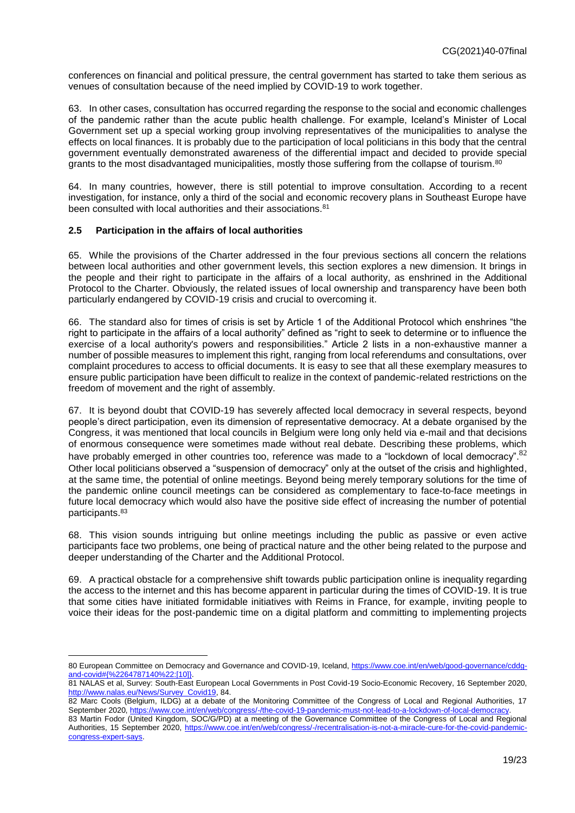conferences on financial and political pressure, the central government has started to take them serious as venues of consultation because of the need implied by COVID-19 to work together.

63. In other cases, consultation has occurred regarding the response to the social and economic challenges of the pandemic rather than the acute public health challenge. For example, Iceland's Minister of Local Government set up a special working group involving representatives of the municipalities to analyse the effects on local finances. It is probably due to the participation of local politicians in this body that the central government eventually demonstrated awareness of the differential impact and decided to provide special grants to the most disadvantaged municipalities, mostly those suffering from the collapse of tourism.<sup>80</sup>

64. In many countries, however, there is still potential to improve consultation. According to a recent investigation, for instance, only a third of the social and economic recovery plans in Southeast Europe have been consulted with local authorities and their associations.<sup>81</sup>

## <span id="page-18-0"></span>**2.5 Participation in the affairs of local authorities**

 $\overline{a}$ 

65. While the provisions of the Charter addressed in the four previous sections all concern the relations between local authorities and other government levels, this section explores a new dimension. It brings in the people and their right to participate in the affairs of a local authority, as enshrined in the Additional Protocol to the Charter. Obviously, the related issues of local ownership and transparency have been both particularly endangered by COVID-19 crisis and crucial to overcoming it.

66. The standard also for times of crisis is set by Article 1 of the Additional Protocol which enshrines "the right to participate in the affairs of a local authority" defined as "right to seek to determine or to influence the exercise of a local authority's powers and responsibilities." Article 2 lists in a non-exhaustive manner a number of possible measures to implement this right, ranging from local referendums and consultations, over complaint procedures to access to official documents. It is easy to see that all these exemplary measures to ensure public participation have been difficult to realize in the context of pandemic-related restrictions on the freedom of movement and the right of assembly.

67. It is beyond doubt that COVID-19 has severely affected local democracy in several respects, beyond people's direct participation, even its dimension of representative democracy. At a debate organised by the Congress, it was mentioned that local councils in Belgium were long only held via e-mail and that decisions of enormous consequence were sometimes made without real debate. Describing these problems, which have probably emerged in other countries too, reference was made to a "lockdown of local democracy". <sup>82</sup> Other local politicians observed a "suspension of democracy" only at the outset of the crisis and highlighted, at the same time, the potential of online meetings. Beyond being merely temporary solutions for the time of the pandemic online council meetings can be considered as complementary to face-to-face meetings in future local democracy which would also have the positive side effect of increasing the number of potential participants.<sup>83</sup>

68. This vision sounds intriguing but online meetings including the public as passive or even active participants face two problems, one being of practical nature and the other being related to the purpose and deeper understanding of the Charter and the Additional Protocol.

69. A practical obstacle for a comprehensive shift towards public participation online is inequality regarding the access to the internet and this has become apparent in particular during the times of COVID-19. It is true that some cities have initiated formidable initiatives with Reims in France, for example, inviting people to voice their ideas for the post-pandemic time on a digital platform and committing to implementing projects

<sup>80</sup> European Committee on Democracy and Governance and COVID-19, Iceland, [https://www.coe.int/en/web/good-governance/cddg](https://www.coe.int/en/web/good-governance/cddg-and-covid#{%2264787140%22:[10]})[and-covid#{%2264787140%22:\[10\]}.](https://www.coe.int/en/web/good-governance/cddg-and-covid#{%2264787140%22:[10]}) 

<sup>81</sup> NALAS et al, Survey: South-East European Local Governments in Post Covid-19 Socio-Economic Recovery, 16 September 2020, [http://www.nalas.eu/News/Survey\\_Covid19,](http://www.nalas.eu/News/Survey_Covid19) 84.

<sup>82</sup> Marc Cools (Belgium, ILDG) at a debate of the Monitoring Committee of the Congress of Local and Regional Authorities, 17 September 2020[, https://www.coe.int/en/web/congress/-/the-covid-19-pandemic-must-not-lead-to-a-lockdown-of-local-democracy.](https://www.coe.int/en/web/congress/-/the-covid-19-pandemic-must-not-lead-to-a-lockdown-of-local-democracy) 83 Martin Fodor (United Kingdom, SOC/G/PD) at a meeting of the Governance Committee of the Congress of Local and Regional

Authorities, 15 September 2020, [https://www.coe.int/en/web/congress/-/recentralisation-is-not-a-miracle-cure-for-the-covid-pandemic](https://www.coe.int/en/web/congress/-/recentralisation-is-not-a-miracle-cure-for-the-covid-pandemic-congress-expert-says)[congress-expert-says.](https://www.coe.int/en/web/congress/-/recentralisation-is-not-a-miracle-cure-for-the-covid-pandemic-congress-expert-says)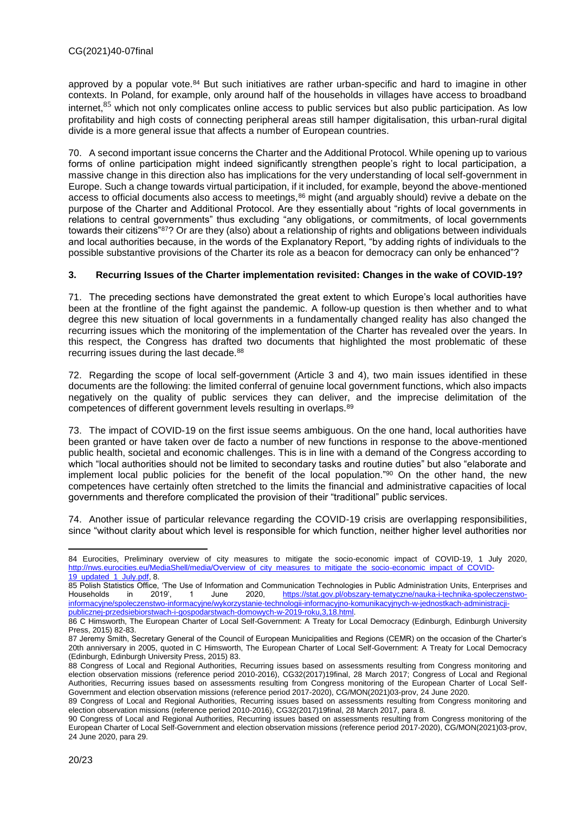approved by a popular vote.<sup>84</sup> But such initiatives are rather urban-specific and hard to imagine in other contexts. In Poland, for example, only around half of the households in villages have access to broadband internet.<sup>85</sup> which not only complicates online access to public services but also public participation. As low profitability and high costs of connecting peripheral areas still hamper digitalisation, this urban-rural digital divide is a more general issue that affects a number of European countries.

70. A second important issue concerns the Charter and the Additional Protocol. While opening up to various forms of online participation might indeed significantly strengthen people's right to local participation, a massive change in this direction also has implications for the very understanding of local self-government in Europe. Such a change towards virtual participation, if it included, for example, beyond the above-mentioned access to official documents also access to meetings,<sup>86</sup> might (and arguably should) revive a debate on the purpose of the Charter and Additional Protocol. Are they essentially about "rights of local governments in relations to central governments" thus excluding "any obligations, or commitments, of local governments towards their citizens"<sup>87</sup>? Or are they (also) about a relationship of rights and obligations between individuals and local authorities because, in the words of the Explanatory Report, "by adding rights of individuals to the possible substantive provisions of the Charter its role as a beacon for democracy can only be enhanced"?

## <span id="page-19-0"></span>**3. Recurring Issues of the Charter implementation revisited: Changes in the wake of COVID-19?**

71. The preceding sections have demonstrated the great extent to which Europe's local authorities have been at the frontline of the fight against the pandemic. A follow-up question is then whether and to what degree this new situation of local governments in a fundamentally changed reality has also changed the recurring issues which the monitoring of the implementation of the Charter has revealed over the years. In this respect, the Congress has drafted two documents that highlighted the most problematic of these recurring issues during the last decade.<sup>88</sup>

72. Regarding the scope of local self-government (Article 3 and 4), two main issues identified in these documents are the following: the limited conferral of genuine local government functions, which also impacts negatively on the quality of public services they can deliver, and the imprecise delimitation of the competences of different government levels resulting in overlaps.<sup>89</sup>

73. The impact of COVID-19 on the first issue seems ambiguous. On the one hand, local authorities have been granted or have taken over de facto a number of new functions in response to the above-mentioned public health, societal and economic challenges. This is in line with a demand of the Congress according to which "local authorities should not be limited to secondary tasks and routine duties" but also "elaborate and implement local public policies for the benefit of the local population."<sup>90</sup> On the other hand, the new competences have certainly often stretched to the limits the financial and administrative capacities of local governments and therefore complicated the provision of their "traditional" public services.

74. Another issue of particular relevance regarding the COVID-19 crisis are overlapping responsibilities, since "without clarity about which level is responsible for which function, neither higher level authorities nor

<sup>84</sup> Eurocities, Preliminary overview of city measures to mitigate the socio-economic impact of COVID-19, 1 July 2020, [http://nws.eurocities.eu/MediaShell/media/Overview\\_of\\_city\\_measures\\_to\\_mitigate\\_the\\_socio-economic\\_impact\\_of\\_COVID-](http://nws.eurocities.eu/MediaShell/media/Overview_of_city_measures_to_mitigate_the_socio-economic_impact_of_COVID-19_updated_1_July.pdf)[19\\_updated\\_1\\_July.pdf,](http://nws.eurocities.eu/MediaShell/media/Overview_of_city_measures_to_mitigate_the_socio-economic_impact_of_COVID-19_updated_1_July.pdf) 8.

<sup>85</sup> Polish Statistics Office, 'The Use of Information and Communication Technologies in Public Administration Units, Enterprises and<br>
Households in 2019' 1 June 2020. https://stat.gov.pl/obszary-tematyczne/nauka-i-technikaHouseholds in 2019', 1 June 2020, [https://stat.gov.pl/obszary-tematyczne/nauka-i-technika-spoleczenstwo](https://stat.gov.pl/obszary-tematyczne/nauka-i-technika-spoleczenstwo-informacyjne/spoleczenstwo-informacyjne/wykorzystanie-technologii-informacyjno-komunikacyjnych-w-jednostkach-administracji-publicznej-przedsiebiorstwach-i-gospodarstwach-domowych-w-2019-roku,3,18.html)[informacyjne/spoleczenstwo-informacyjne/wykorzystanie-technologii-informacyjno-komunikacyjnych-w-jednostkach-administracji](https://stat.gov.pl/obszary-tematyczne/nauka-i-technika-spoleczenstwo-informacyjne/spoleczenstwo-informacyjne/wykorzystanie-technologii-informacyjno-komunikacyjnych-w-jednostkach-administracji-publicznej-przedsiebiorstwach-i-gospodarstwach-domowych-w-2019-roku,3,18.html)[publicznej-przedsiebiorstwach-i-gospodarstwach-domowych-w-2019-roku,3,18.html.](https://stat.gov.pl/obszary-tematyczne/nauka-i-technika-spoleczenstwo-informacyjne/spoleczenstwo-informacyjne/wykorzystanie-technologii-informacyjno-komunikacyjnych-w-jednostkach-administracji-publicznej-przedsiebiorstwach-i-gospodarstwach-domowych-w-2019-roku,3,18.html)

<sup>86</sup> C Himsworth, The European Charter of Local Self-Government: A Treaty for Local Democracy (Edinburgh, Edinburgh University Press, 2015) 82-83.

<sup>87</sup> Jeremy Smith, Secretary General of the Council of European Municipalities and Regions (CEMR) on the occasion of the Charter's 20th anniversary in 2005, quoted in C Himsworth, The European Charter of Local Self-Government: A Treaty for Local Democracy (Edinburgh, Edinburgh University Press, 2015) 83.

<sup>88</sup> Congress of Local and Regional Authorities, Recurring issues based on assessments resulting from Congress monitoring and election observation missions (reference period 2010-2016), CG32(2017)19final, 28 March 2017; Congress of Local and Regional Authorities, Recurring issues based on assessments resulting from Congress monitoring of the European Charter of Local Self-Government and election observation missions (reference period 2017-2020), CG/MON(2021)03-prov, 24 June 2020.

<sup>89</sup> Congress of Local and Regional Authorities, Recurring issues based on assessments resulting from Congress monitoring and election observation missions (reference period 2010-2016), CG32(2017)19final, 28 March 2017, para 8.

<sup>90</sup> Congress of Local and Regional Authorities, Recurring issues based on assessments resulting from Congress monitoring of the European Charter of Local Self-Government and election observation missions (reference period 2017-2020), CG/MON(2021)03-prov, 24 June 2020, para 29.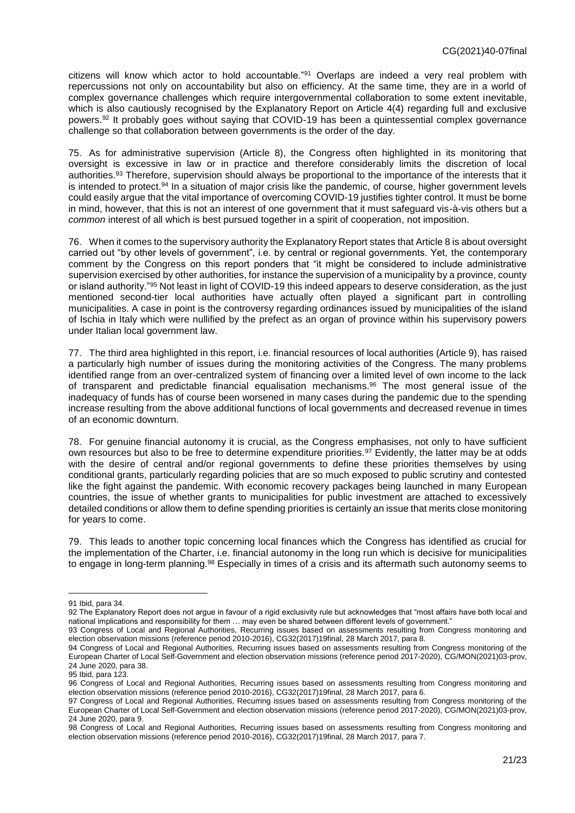citizens will know which actor to hold accountable."<sup>91</sup> Overlaps are indeed a very real problem with repercussions not only on accountability but also on efficiency. At the same time, they are in a world of complex governance challenges which require intergovernmental collaboration to some extent inevitable, which is also cautiously recognised by the Explanatory Report on Article 4(4) regarding full and exclusive powers.<sup>92</sup> It probably goes without saying that COVID-19 has been a quintessential complex governance challenge so that collaboration between governments is the order of the day.

75. As for administrative supervision (Article 8), the Congress often highlighted in its monitoring that oversight is excessive in law or in practice and therefore considerably limits the discretion of local authorities.<sup>93</sup> Therefore, supervision should always be proportional to the importance of the interests that it is intended to protect.<sup>94</sup> In a situation of major crisis like the pandemic, of course, higher government levels could easily argue that the vital importance of overcoming COVID-19 justifies tighter control. It must be borne in mind, however, that this is not an interest of one government that it must safeguard vis-à-vis others but a *common* interest of all which is best pursued together in a spirit of cooperation, not imposition.

76. When it comes to the supervisory authority the Explanatory Report states that Article 8 is about oversight carried out "by other levels of government", i.e. by central or regional governments. Yet, the contemporary comment by the Congress on this report ponders that "it might be considered to include administrative supervision exercised by other authorities, for instance the supervision of a municipality by a province, county or island authority."<sup>95</sup> Not least in light of COVID-19 this indeed appears to deserve consideration, as the just mentioned second-tier local authorities have actually often played a significant part in controlling municipalities. A case in point is the controversy regarding ordinances issued by municipalities of the island of Ischia in Italy which were nullified by the prefect as an organ of province within his supervisory powers under Italian local government law.

77. The third area highlighted in this report, i.e. financial resources of local authorities (Article 9), has raised a particularly high number of issues during the monitoring activities of the Congress. The many problems identified range from an over-centralized system of financing over a limited level of own income to the lack of transparent and predictable financial equalisation mechanisms.<sup>96</sup> The most general issue of the inadequacy of funds has of course been worsened in many cases during the pandemic due to the spending increase resulting from the above additional functions of local governments and decreased revenue in times of an economic downturn.

78. For genuine financial autonomy it is crucial, as the Congress emphasises, not only to have sufficient own resources but also to be free to determine expenditure priorities.<sup>97</sup> Evidently, the latter may be at odds with the desire of central and/or regional governments to define these priorities themselves by using conditional grants, particularly regarding policies that are so much exposed to public scrutiny and contested like the fight against the pandemic. With economic recovery packages being launched in many European countries, the issue of whether grants to municipalities for public investment are attached to excessively detailed conditions or allow them to define spending priorities is certainly an issue that merits close monitoring for years to come.

79. This leads to another topic concerning local finances which the Congress has identified as crucial for the implementation of the Charter, i.e. financial autonomy in the long run which is decisive for municipalities to engage in long-term planning.<sup>98</sup> Especially in times of a crisis and its aftermath such autonomy seems to

<sup>91</sup> Ibid, para 34.

<sup>92</sup> The Explanatory Report does not argue in favour of a rigid exclusivity rule but acknowledges that "most affairs have both local and national implications and responsibility for them … may even be shared between different levels of government."

<sup>93</sup> Congress of Local and Regional Authorities, Recurring issues based on assessments resulting from Congress monitoring and election observation missions (reference period 2010-2016), CG32(2017)19final, 28 March 2017, para 8.

<sup>94</sup> Congress of Local and Regional Authorities, Recurring issues based on assessments resulting from Congress monitoring of the European Charter of Local Self-Government and election observation missions (reference period 2017-2020), CG/MON(2021)03-prov, 24 June 2020, para 38.

<sup>95</sup> Ibid, para 123.

<sup>96</sup> Congress of Local and Regional Authorities, Recurring issues based on assessments resulting from Congress monitoring and election observation missions (reference period 2010-2016), CG32(2017)19final, 28 March 2017, para 6.

<sup>97</sup> Congress of Local and Regional Authorities, Recurring issues based on assessments resulting from Congress monitoring of the European Charter of Local Self-Government and election observation missions (reference period 2017-2020), CG/MON(2021)03-prov, 24 June 2020, para 9.

<sup>98</sup> Congress of Local and Regional Authorities, Recurring issues based on assessments resulting from Congress monitoring and election observation missions (reference period 2010-2016), CG32(2017)19final, 28 March 2017, para 7.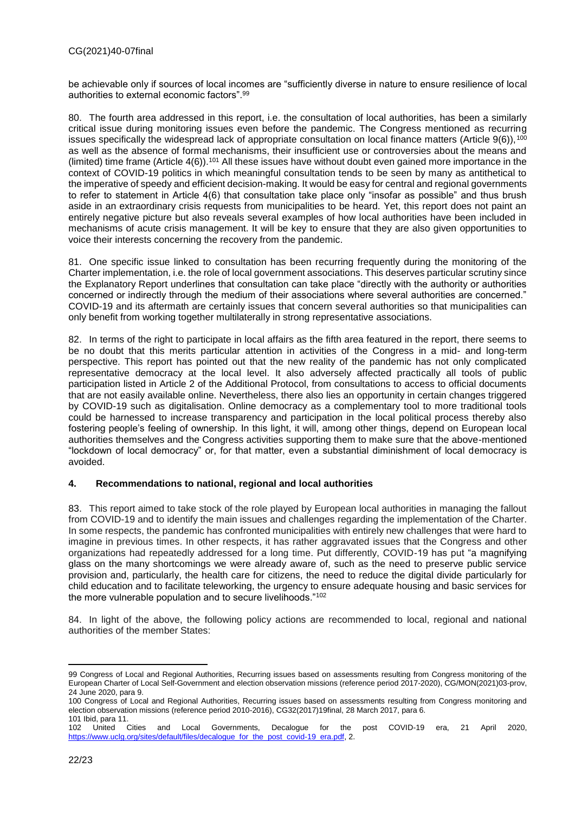be achievable only if sources of local incomes are "sufficiently diverse in nature to ensure resilience of local authorities to external economic factors".<sup>99</sup>

80. The fourth area addressed in this report, i.e. the consultation of local authorities, has been a similarly critical issue during monitoring issues even before the pandemic. The Congress mentioned as recurring issues specifically the widespread lack of appropriate consultation on local finance matters (Article  $9(6)$ ),  $100$ as well as the absence of formal mechanisms, their insufficient use or controversies about the means and (limited) time frame (Article  $4(6)$ ).<sup>101</sup> All these issues have without doubt even gained more importance in the context of COVID-19 politics in which meaningful consultation tends to be seen by many as antithetical to the imperative of speedy and efficient decision-making. It would be easy for central and regional governments to refer to statement in Article 4(6) that consultation take place only "insofar as possible" and thus brush aside in an extraordinary crisis requests from municipalities to be heard. Yet, this report does not paint an entirely negative picture but also reveals several examples of how local authorities have been included in mechanisms of acute crisis management. It will be key to ensure that they are also given opportunities to voice their interests concerning the recovery from the pandemic.

81. One specific issue linked to consultation has been recurring frequently during the monitoring of the Charter implementation, i.e. the role of local government associations. This deserves particular scrutiny since the Explanatory Report underlines that consultation can take place "directly with the authority or authorities concerned or indirectly through the medium of their associations where several authorities are concerned." COVID-19 and its aftermath are certainly issues that concern several authorities so that municipalities can only benefit from working together multilaterally in strong representative associations.

82. In terms of the right to participate in local affairs as the fifth area featured in the report, there seems to be no doubt that this merits particular attention in activities of the Congress in a mid- and long-term perspective. This report has pointed out that the new reality of the pandemic has not only complicated representative democracy at the local level. It also adversely affected practically all tools of public participation listed in Article 2 of the Additional Protocol, from consultations to access to official documents that are not easily available online. Nevertheless, there also lies an opportunity in certain changes triggered by COVID-19 such as digitalisation. Online democracy as a complementary tool to more traditional tools could be harnessed to increase transparency and participation in the local political process thereby also fostering people's feeling of ownership. In this light, it will, among other things, depend on European local authorities themselves and the Congress activities supporting them to make sure that the above-mentioned "lockdown of local democracy" or, for that matter, even a substantial diminishment of local democracy is avoided.

#### <span id="page-21-0"></span>**4. Recommendations to national, regional and local authorities**

83. This report aimed to take stock of the role played by European local authorities in managing the fallout from COVID-19 and to identify the main issues and challenges regarding the implementation of the Charter. In some respects, the pandemic has confronted municipalities with entirely new challenges that were hard to imagine in previous times. In other respects, it has rather aggravated issues that the Congress and other organizations had repeatedly addressed for a long time. Put differently, COVID-19 has put "a magnifying glass on the many shortcomings we were already aware of, such as the need to preserve public service provision and, particularly, the health care for citizens, the need to reduce the digital divide particularly for child education and to facilitate teleworking, the urgency to ensure adequate housing and basic services for the more vulnerable population and to secure livelihoods."<sup>102</sup>

84. In light of the above, the following policy actions are recommended to local, regional and national authorities of the member States:

<sup>99</sup> Congress of Local and Regional Authorities, Recurring issues based on assessments resulting from Congress monitoring of the European Charter of Local Self-Government and election observation missions (reference period 2017-2020), CG/MON(2021)03-prov, 24 June 2020, para 9.

<sup>100</sup> Congress of Local and Regional Authorities, Recurring issues based on assessments resulting from Congress monitoring and election observation missions (reference period 2010-2016), CG32(2017)19final, 28 March 2017, para 6. 101 Ibid, para 11.

<sup>102</sup> United Cities and Local Governments, Decalogue for the post COVID-19 era, 21 April 2020, [https://www.uclg.org/sites/default/files/decalogue\\_for\\_the\\_post\\_covid-19\\_era.pdf,](https://www.uclg.org/sites/default/files/decalogue_for_the_post_covid-19_era.pdf) 2.